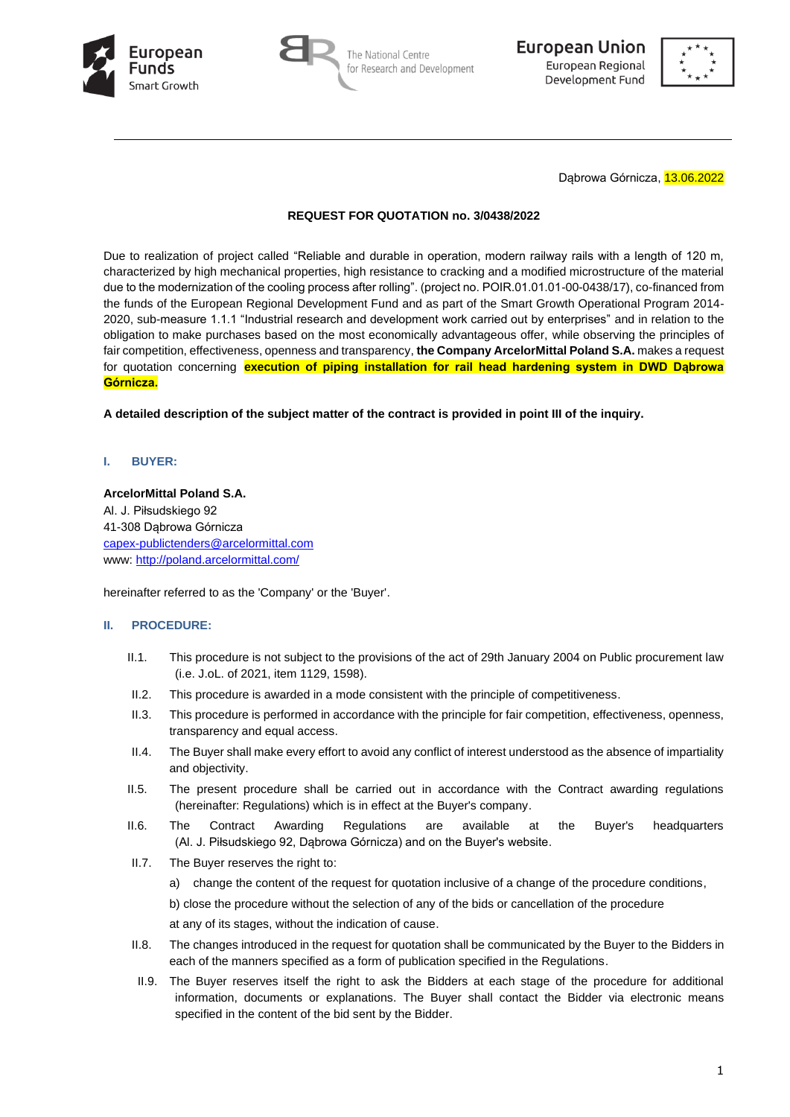





Dąbrowa Górnicza, 13.06.2022

### **REQUEST FOR QUOTATION no. 3/0438/2022**

Due to realization of project called "Reliable and durable in operation, modern railway rails with a length of 120 m, characterized by high mechanical properties, high resistance to cracking and a modified microstructure of the material due to the modernization of the cooling process after rolling". (project no. POIR.01.01.01-00-0438/17), co-financed from the funds of the European Regional Development Fund and as part of the Smart Growth Operational Program 2014- 2020, sub-measure 1.1.1 "Industrial research and development work carried out by enterprises" and in relation to the obligation to make purchases based on the most economically advantageous offer, while observing the principles of fair competition, effectiveness, openness and transparency, **the Company ArcelorMittal Poland S.A.** makes a request for quotation concerning **execution of piping installation for rail head hardening system in DWD Dąbrowa Górnicza.**

**A detailed description of the subject matter of the contract is provided in point III of the inquiry.**

## **I. BUYER:**

## **ArcelorMittal Poland S.A.**

Al. J. Piłsudskiego 92 41-308 Dąbrowa Górnicza [capex-publictenders@arcelormittal.com](mailto:capex-publictenders@arcelormittal.com) www:<http://poland.arcelormittal.com/>

hereinafter referred to as the 'Company' or the 'Buyer'.

# **II. PROCEDURE:**

- II.1. This procedure is not subject to the provisions of the act of 29th January 2004 on Public procurement law (i.e. J.oL. of 2021, item 1129, 1598).
- II.2. This procedure is awarded in a mode consistent with the principle of competitiveness.
- II.3. This procedure is performed in accordance with the principle for fair competition, effectiveness, openness, transparency and equal access.
- II.4. The Buyer shall make every effort to avoid any conflict of interest understood as the absence of impartiality and objectivity.
- II.5. The present procedure shall be carried out in accordance with the Contract awarding regulations (hereinafter: Regulations) which is in effect at the Buyer's company.
- II.6. The Contract Awarding Regulations are available at the Buyer's headquarters (Al. J. Piłsudskiego 92, Dąbrowa Górnicza) and on the Buyer's website.
- II.7. The Buyer reserves the right to:
	- a) change the content of the request for quotation inclusive of a change of the procedure conditions,

b) close the procedure without the selection of any of the bids or cancellation of the procedure

at any of its stages, without the indication of cause.

- II.8. The changes introduced in the request for quotation shall be communicated by the Buyer to the Bidders in each of the manners specified as a form of publication specified in the Regulations.
- II.9. The Buyer reserves itself the right to ask the Bidders at each stage of the procedure for additional information, documents or explanations. The Buyer shall contact the Bidder via electronic means specified in the content of the bid sent by the Bidder.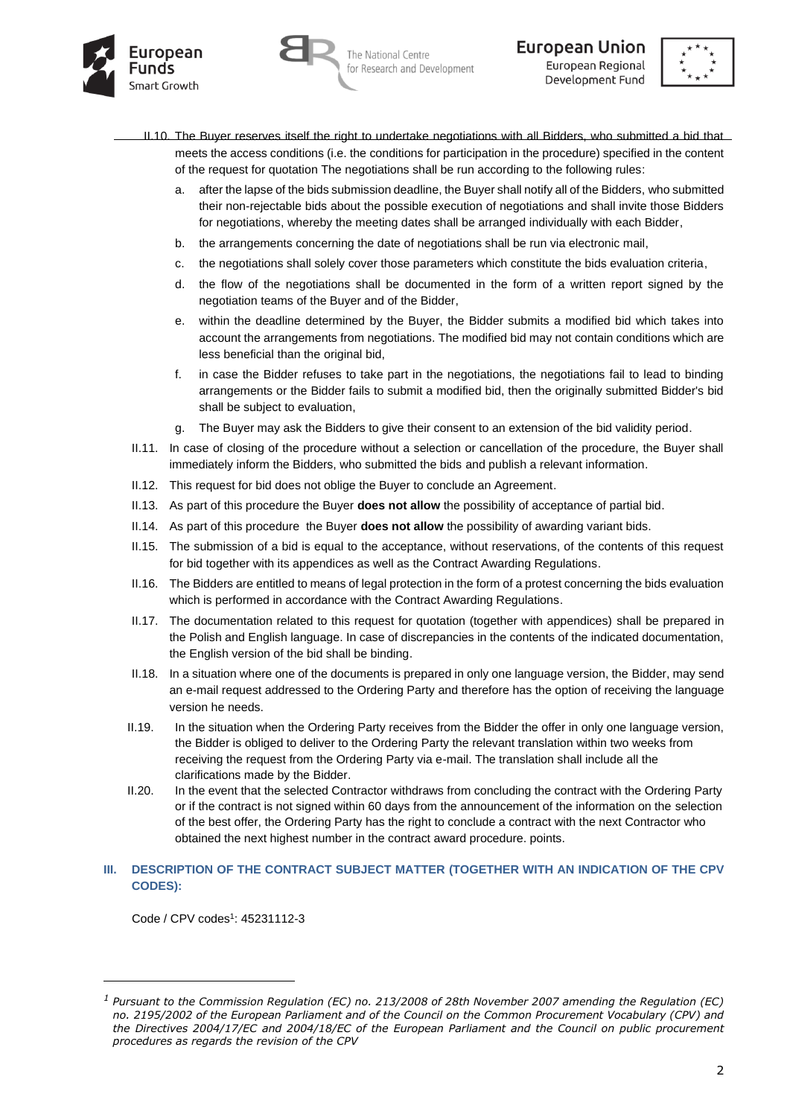





- II.10. The Buyer reserves itself the right to undertake negotiations with all Bidders, who submitted a bid that meets the access conditions (i.e. the conditions for participation in the procedure) specified in the content of the request for quotation The negotiations shall be run according to the following rules:
	- a. after the lapse of the bids submission deadline, the Buyer shall notify all of the Bidders, who submitted their non-rejectable bids about the possible execution of negotiations and shall invite those Bidders for negotiations, whereby the meeting dates shall be arranged individually with each Bidder,
	- b. the arrangements concerning the date of negotiations shall be run via electronic mail,
	- c. the negotiations shall solely cover those parameters which constitute the bids evaluation criteria,
	- d. the flow of the negotiations shall be documented in the form of a written report signed by the negotiation teams of the Buyer and of the Bidder,
	- e. within the deadline determined by the Buyer, the Bidder submits a modified bid which takes into account the arrangements from negotiations. The modified bid may not contain conditions which are less beneficial than the original bid,
	- f. in case the Bidder refuses to take part in the negotiations, the negotiations fail to lead to binding arrangements or the Bidder fails to submit a modified bid, then the originally submitted Bidder's bid shall be subject to evaluation,
	- g. The Buyer may ask the Bidders to give their consent to an extension of the bid validity period.
- II.11. In case of closing of the procedure without a selection or cancellation of the procedure, the Buyer shall immediately inform the Bidders, who submitted the bids and publish a relevant information.
- II.12. This request for bid does not oblige the Buyer to conclude an Agreement.
- II.13. As part of this procedure the Buyer **does not allow** the possibility of acceptance of partial bid.
- II.14. As part of this procedure the Buyer **does not allow** the possibility of awarding variant bids.
- II.15. The submission of a bid is equal to the acceptance, without reservations, of the contents of this request for bid together with its appendices as well as the Contract Awarding Regulations.
- II.16. The Bidders are entitled to means of legal protection in the form of a protest concerning the bids evaluation which is performed in accordance with the Contract Awarding Regulations.
- II.17. The documentation related to this request for quotation (together with appendices) shall be prepared in the Polish and English language. In case of discrepancies in the contents of the indicated documentation, the English version of the bid shall be binding.
- II.18. In a situation where one of the documents is prepared in only one language version, the Bidder, may send an e-mail request addressed to the Ordering Party and therefore has the option of receiving the language version he needs.
- II.19. In the situation when the Ordering Party receives from the Bidder the offer in only one language version, the Bidder is obliged to deliver to the Ordering Party the relevant translation within two weeks from receiving the request from the Ordering Party via e-mail. The translation shall include all the clarifications made by the Bidder.
- II.20. In the event that the selected Contractor withdraws from concluding the contract with the Ordering Party or if the contract is not signed within 60 days from the announcement of the information on the selection of the best offer, the Ordering Party has the right to conclude a contract with the next Contractor who obtained the next highest number in the contract award procedure. points.

#### **III. DESCRIPTION OF THE CONTRACT SUBJECT MATTER (TOGETHER WITH AN INDICATION OF THE CPV CODES):**

Code / CPV codes<sup>1</sup>: 45231112-3

*<sup>1</sup> Pursuant to the Commission Regulation (EC) no. 213/2008 of 28th November 2007 amending the Regulation (EC) no. 2195/2002 of the European Parliament and of the Council on the Common Procurement Vocabulary (CPV) and the Directives 2004/17/EC and 2004/18/EC of the European Parliament and the Council on public procurement procedures as regards the revision of the CPV*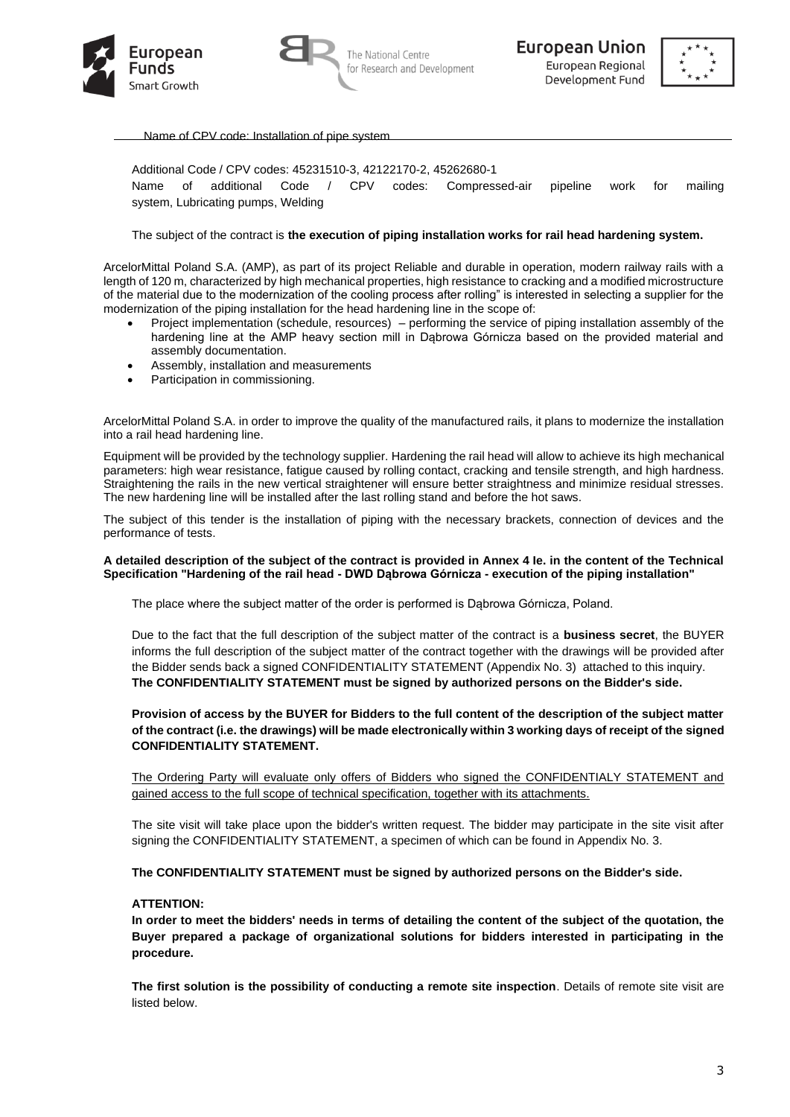



The National Centre for Research and Development



Name of CPV code: Installation of pipe system

Additional Code / CPV codes: 45231510-3, 42122170-2, 45262680-1 Name of additional Code / CPV codes: Compressed-air pipeline work for mailing system, Lubricating pumps, Welding

#### The subject of the contract is **the execution of piping installation works for rail head hardening system.**

ArcelorMittal Poland S.A. (AMP), as part of its project Reliable and durable in operation, modern railway rails with a length of 120 m, characterized by high mechanical properties, high resistance to cracking and a modified microstructure of the material due to the modernization of the cooling process after rolling" is interested in selecting a supplier for the modernization of the piping installation for the head hardening line in the scope of:

- Project implementation (schedule, resources) performing the service of piping installation assembly of the hardening line at the AMP heavy section mill in Dąbrowa Górnicza based on the provided material and assembly documentation.
- Assembly, installation and measurements
- Participation in commissioning.

ArcelorMittal Poland S.A. in order to improve the quality of the manufactured rails, it plans to modernize the installation into a rail head hardening line.

Equipment will be provided by the technology supplier. Hardening the rail head will allow to achieve its high mechanical parameters: high wear resistance, fatigue caused by rolling contact, cracking and tensile strength, and high hardness. Straightening the rails in the new vertical straightener will ensure better straightness and minimize residual stresses. The new hardening line will be installed after the last rolling stand and before the hot saws.

The subject of this tender is the installation of piping with the necessary brackets, connection of devices and the performance of tests.

#### **A detailed description of the subject of the contract is provided in Annex 4 Ie. in the content of the Technical Specification "Hardening of the rail head - DWD Dąbrowa Górnicza - execution of the piping installation"**

The place where the subject matter of the order is performed is Dąbrowa Górnicza, Poland.

Due to the fact that the full description of the subject matter of the contract is a **business secret**, the BUYER informs the full description of the subject matter of the contract together with the drawings will be provided after the Bidder sends back a signed CONFIDENTIALITY STATEMENT (Appendix No. 3) attached to this inquiry. **The CONFIDENTIALITY STATEMENT must be signed by authorized persons on the Bidder's side.**

### **Provision of access by the BUYER for Bidders to the full content of the description of the subject matter of the contract (i.e. the drawings) will be made electronically within 3 working days of receipt of the signed CONFIDENTIALITY STATEMENT.**

The Ordering Party will evaluate only offers of Bidders who signed the CONFIDENTIALY STATEMENT and gained access to the full scope of technical specification, together with its attachments.

The site visit will take place upon the bidder's written request. The bidder may participate in the site visit after signing the CONFIDENTIALITY STATEMENT, a specimen of which can be found in Appendix No. 3.

#### **The CONFIDENTIALITY STATEMENT must be signed by authorized persons on the Bidder's side.**

#### **ATTENTION:**

**In order to meet the bidders' needs in terms of detailing the content of the subject of the quotation, the Buyer prepared a package of organizational solutions for bidders interested in participating in the procedure.**

**The first solution is the possibility of conducting a remote site inspection**. Details of remote site visit are listed below.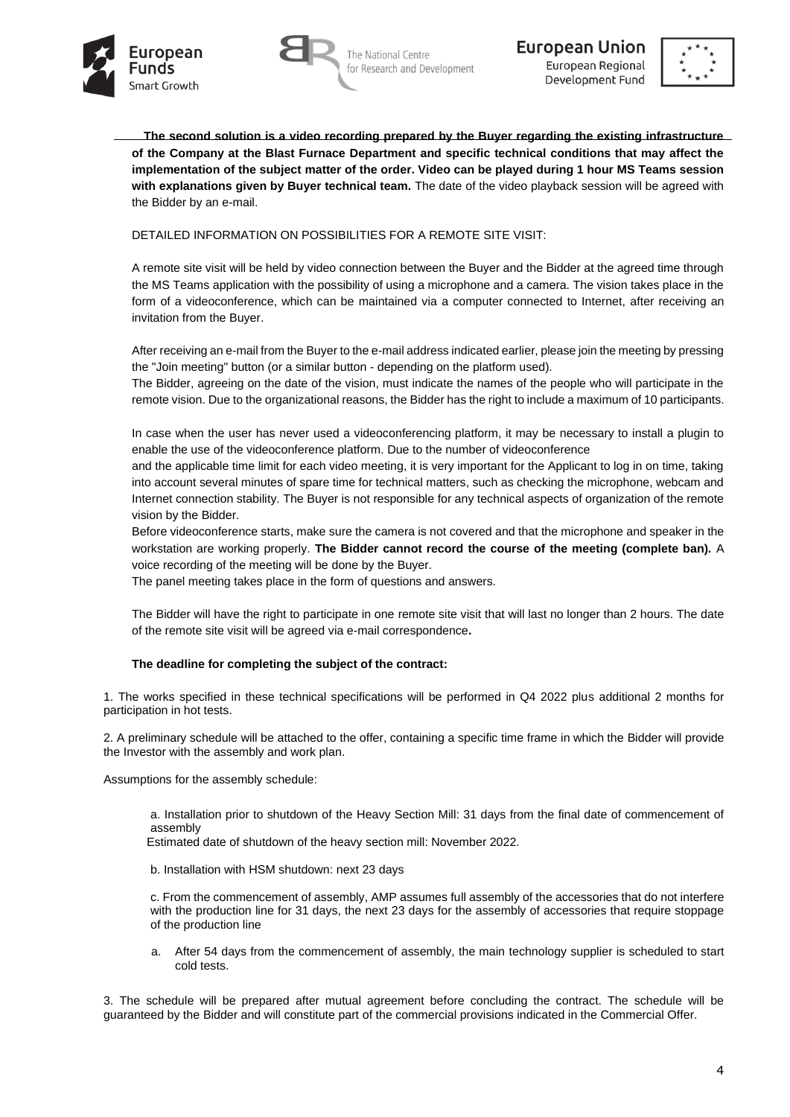





**The second solution is a video recording prepared by the Buyer regarding the existing infrastructure of the Company at the Blast Furnace Department and specific technical conditions that may affect the implementation of the subject matter of the order. Video can be played during 1 hour MS Teams session with explanations given by Buyer technical team.** The date of the video playback session will be agreed with the Bidder by an e-mail.

DETAILED INFORMATION ON POSSIBILITIES FOR A REMOTE SITE VISIT:

A remote site visit will be held by video connection between the Buyer and the Bidder at the agreed time through the MS Teams application with the possibility of using a microphone and a camera. The vision takes place in the form of a videoconference, which can be maintained via a computer connected to Internet, after receiving an invitation from the Buyer.

After receiving an e-mail from the Buyer to the e-mail address indicated earlier, please join the meeting by pressing the "Join meeting" button (or a similar button - depending on the platform used).

The Bidder, agreeing on the date of the vision, must indicate the names of the people who will participate in the remote vision. Due to the organizational reasons, the Bidder has the right to include a maximum of 10 participants.

In case when the user has never used a videoconferencing platform, it may be necessary to install a plugin to enable the use of the videoconference platform. Due to the number of videoconference

and the applicable time limit for each video meeting, it is very important for the Applicant to log in on time, taking into account several minutes of spare time for technical matters, such as checking the microphone, webcam and Internet connection stability. The Buyer is not responsible for any technical aspects of organization of the remote vision by the Bidder.

Before videoconference starts, make sure the camera is not covered and that the microphone and speaker in the workstation are working properly. **The Bidder cannot record the course of the meeting (complete ban).** A voice recording of the meeting will be done by the Buyer.

The panel meeting takes place in the form of questions and answers.

The Bidder will have the right to participate in one remote site visit that will last no longer than 2 hours. The date of the remote site visit will be agreed via e-mail correspondence**.** 

# **The deadline for completing the subject of the contract:**

1. The works specified in these technical specifications will be performed in Q4 2022 plus additional 2 months for participation in hot tests.

2. A preliminary schedule will be attached to the offer, containing a specific time frame in which the Bidder will provide the Investor with the assembly and work plan.

Assumptions for the assembly schedule:

a. Installation prior to shutdown of the Heavy Section Mill: 31 days from the final date of commencement of assembly

Estimated date of shutdown of the heavy section mill: November 2022.

b. Installation with HSM shutdown: next 23 days

c. From the commencement of assembly, AMP assumes full assembly of the accessories that do not interfere with the production line for 31 days, the next 23 days for the assembly of accessories that require stoppage of the production line

a. After 54 days from the commencement of assembly, the main technology supplier is scheduled to start cold tests.

3. The schedule will be prepared after mutual agreement before concluding the contract. The schedule will be guaranteed by the Bidder and will constitute part of the commercial provisions indicated in the Commercial Offer.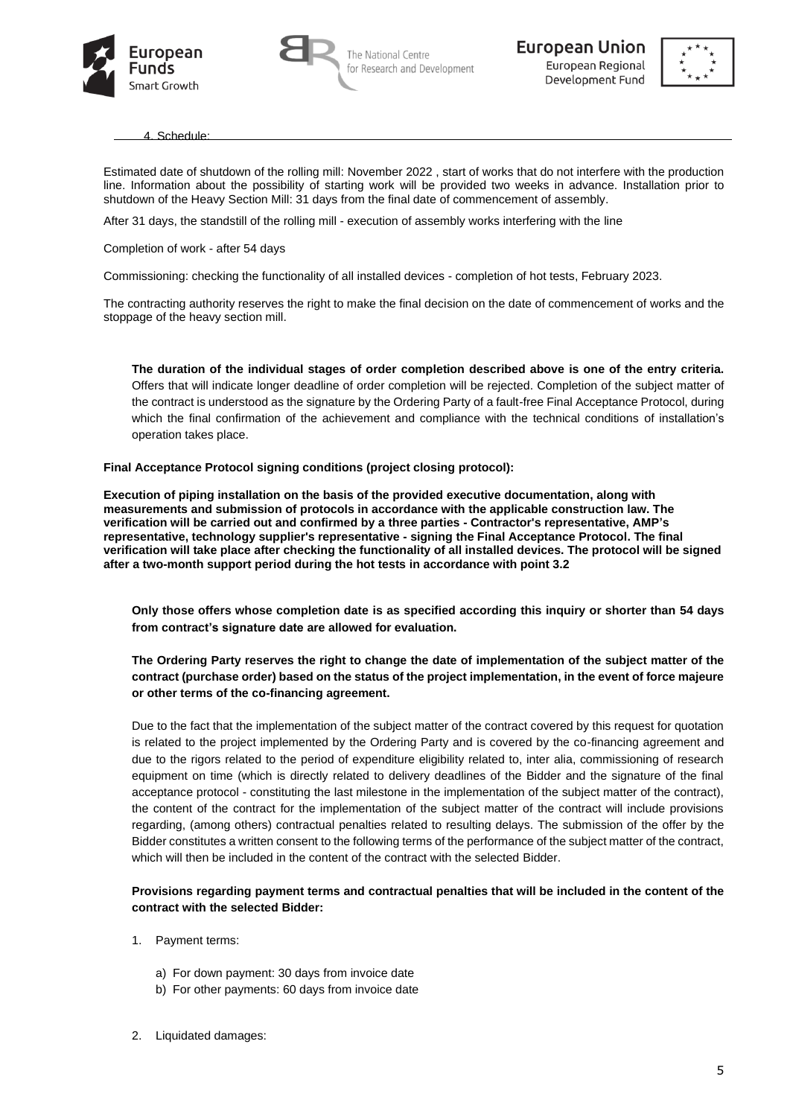





4. Schedule:

Estimated date of shutdown of the rolling mill: November 2022 , start of works that do not interfere with the production line. Information about the possibility of starting work will be provided two weeks in advance. Installation prior to shutdown of the Heavy Section Mill: 31 days from the final date of commencement of assembly.

After 31 days, the standstill of the rolling mill - execution of assembly works interfering with the line

Completion of work - after 54 days

Commissioning: checking the functionality of all installed devices - completion of hot tests, February 2023.

The contracting authority reserves the right to make the final decision on the date of commencement of works and the stoppage of the heavy section mill.

**The duration of the individual stages of order completion described above is one of the entry criteria.**  Offers that will indicate longer deadline of order completion will be rejected. Completion of the subject matter of the contract is understood as the signature by the Ordering Party of a fault-free Final Acceptance Protocol, during which the final confirmation of the achievement and compliance with the technical conditions of installation's operation takes place.

**Final Acceptance Protocol signing conditions (project closing protocol):**

**Execution of piping installation on the basis of the provided executive documentation, along with measurements and submission of protocols in accordance with the applicable construction law. The verification will be carried out and confirmed by a three parties - Contractor's representative, AMP's representative, technology supplier's representative - signing the Final Acceptance Protocol. The final verification will take place after checking the functionality of all installed devices. The protocol will be signed after a two-month support period during the hot tests in accordance with point 3.2**

**Only those offers whose completion date is as specified according this inquiry or shorter than 54 days from contract's signature date are allowed for evaluation.** 

## **The Ordering Party reserves the right to change the date of implementation of the subject matter of the contract (purchase order) based on the status of the project implementation, in the event of force majeure or other terms of the co-financing agreement.**

Due to the fact that the implementation of the subject matter of the contract covered by this request for quotation is related to the project implemented by the Ordering Party and is covered by the co-financing agreement and due to the rigors related to the period of expenditure eligibility related to, inter alia, commissioning of research equipment on time (which is directly related to delivery deadlines of the Bidder and the signature of the final acceptance protocol - constituting the last milestone in the implementation of the subject matter of the contract), the content of the contract for the implementation of the subject matter of the contract will include provisions regarding, (among others) contractual penalties related to resulting delays. The submission of the offer by the Bidder constitutes a written consent to the following terms of the performance of the subject matter of the contract, which will then be included in the content of the contract with the selected Bidder.

**Provisions regarding payment terms and contractual penalties that will be included in the content of the contract with the selected Bidder:**

- 1. Payment terms:
	- a) For down payment: 30 days from invoice date
	- b) For other payments: 60 days from invoice date
- 2. Liquidated damages: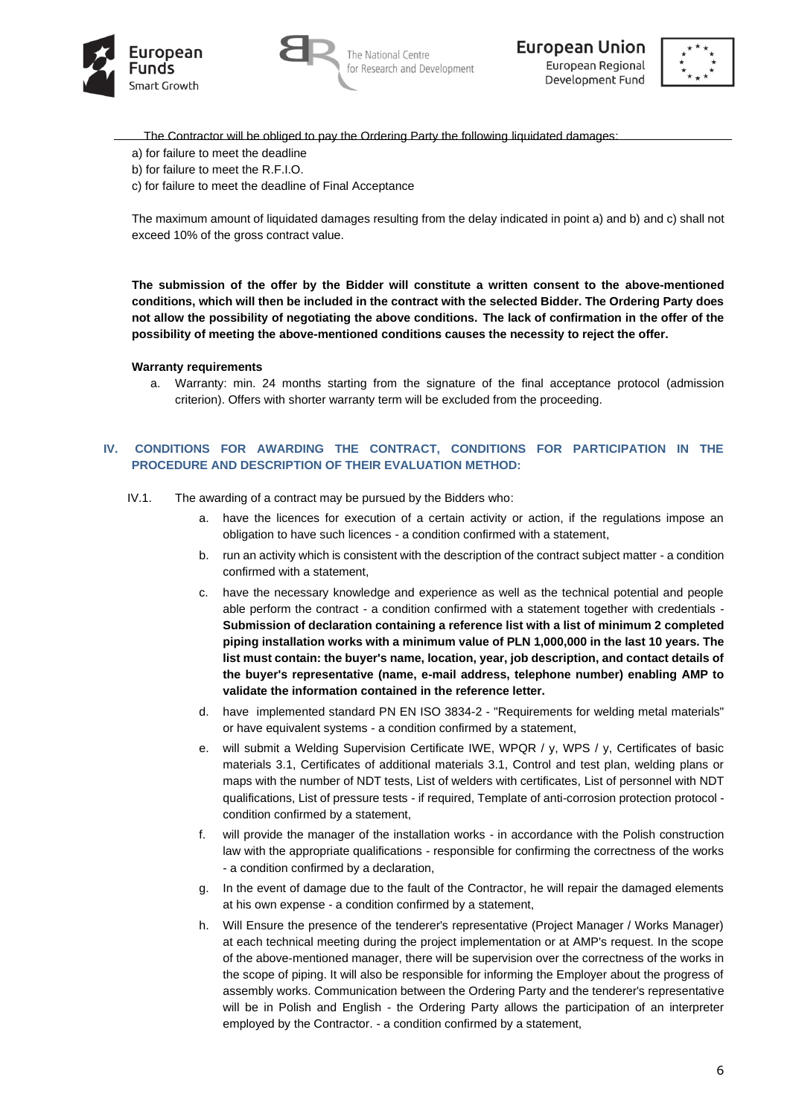





- The Contractor will be obliged to pay the Ordering Party the following liquidated damages:
- a) for failure to meet the deadline
- b) for failure to meet the R.F.I.O.
- c) for failure to meet the deadline of Final Acceptance

The maximum amount of liquidated damages resulting from the delay indicated in point a) and b) and c) shall not exceed 10% of the gross contract value.

**The submission of the offer by the Bidder will constitute a written consent to the above-mentioned conditions, which will then be included in the contract with the selected Bidder. The Ordering Party does not allow the possibility of negotiating the above conditions. The lack of confirmation in the offer of the possibility of meeting the above-mentioned conditions causes the necessity to reject the offer.**

#### **Warranty requirements**

a. Warranty: min. 24 months starting from the signature of the final acceptance protocol (admission criterion). Offers with shorter warranty term will be excluded from the proceeding.

### **IV. CONDITIONS FOR AWARDING THE CONTRACT, CONDITIONS FOR PARTICIPATION IN THE PROCEDURE AND DESCRIPTION OF THEIR EVALUATION METHOD:**

- IV.1. The awarding of a contract may be pursued by the Bidders who:
	- a. have the licences for execution of a certain activity or action, if the regulations impose an obligation to have such licences - a condition confirmed with a statement,
	- b. run an activity which is consistent with the description of the contract subject matter a condition confirmed with a statement,
	- c. have the necessary knowledge and experience as well as the technical potential and people able perform the contract - a condition confirmed with a statement together with credentials - **Submission of declaration containing a reference list with a list of minimum 2 completed piping installation works with a minimum value of PLN 1,000,000 in the last 10 years. The list must contain: the buyer's name, location, year, job description, and contact details of the buyer's representative (name, e-mail address, telephone number) enabling AMP to validate the information contained in the reference letter.**
	- d. have implemented standard PN EN ISO 3834-2 "Requirements for welding metal materials" or have equivalent systems - a condition confirmed by a statement,
	- e. will submit a Welding Supervision Certificate IWE, WPQR / y, WPS / y, Certificates of basic materials 3.1, Certificates of additional materials 3.1, Control and test plan, welding plans or maps with the number of NDT tests, List of welders with certificates, List of personnel with NDT qualifications, List of pressure tests - if required, Template of anti-corrosion protection protocol condition confirmed by a statement,
	- f. will provide the manager of the installation works in accordance with the Polish construction law with the appropriate qualifications - responsible for confirming the correctness of the works - a condition confirmed by a declaration,
	- g. In the event of damage due to the fault of the Contractor, he will repair the damaged elements at his own expense - a condition confirmed by a statement,
	- h. Will Ensure the presence of the tenderer's representative (Project Manager / Works Manager) at each technical meeting during the project implementation or at AMP's request. In the scope of the above-mentioned manager, there will be supervision over the correctness of the works in the scope of piping. It will also be responsible for informing the Employer about the progress of assembly works. Communication between the Ordering Party and the tenderer's representative will be in Polish and English - the Ordering Party allows the participation of an interpreter employed by the Contractor. - a condition confirmed by a statement,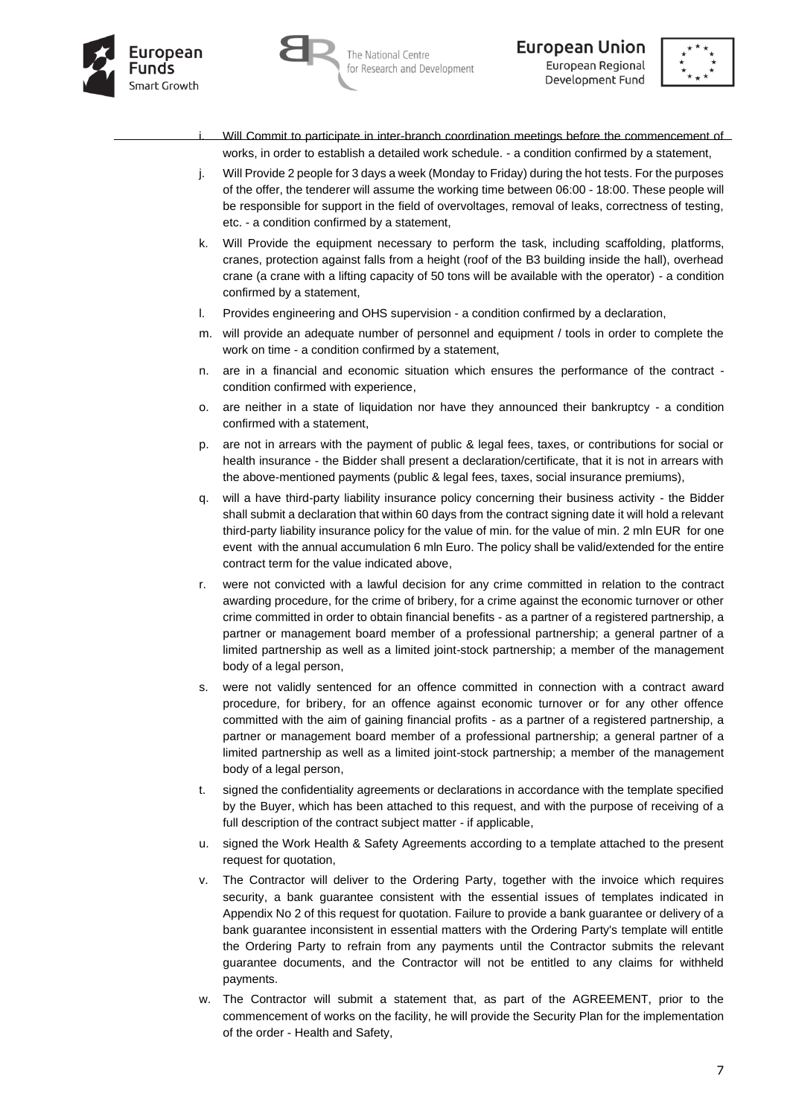





- Will Commit to participate in inter-branch coordination meetings before the commencement of works, in order to establish a detailed work schedule. - a condition confirmed by a statement,
- j. Will Provide 2 people for 3 days a week (Monday to Friday) during the hot tests. For the purposes of the offer, the tenderer will assume the working time between 06:00 - 18:00. These people will be responsible for support in the field of overvoltages, removal of leaks, correctness of testing, etc. - a condition confirmed by a statement,
- k. Will Provide the equipment necessary to perform the task, including scaffolding, platforms, cranes, protection against falls from a height (roof of the B3 building inside the hall), overhead crane (a crane with a lifting capacity of 50 tons will be available with the operator) - a condition confirmed by a statement,
- l. Provides engineering and OHS supervision a condition confirmed by a declaration,
- m. will provide an adequate number of personnel and equipment / tools in order to complete the work on time - a condition confirmed by a statement,
- n. are in a financial and economic situation which ensures the performance of the contract condition confirmed with experience,
- o. are neither in a state of liquidation nor have they announced their bankruptcy a condition confirmed with a statement,
- p. are not in arrears with the payment of public & legal fees, taxes, or contributions for social or health insurance - the Bidder shall present a declaration/certificate, that it is not in arrears with the above-mentioned payments (public & legal fees, taxes, social insurance premiums),
- q. will a have third-party liability insurance policy concerning their business activity the Bidder shall submit a declaration that within 60 days from the contract signing date it will hold a relevant third-party liability insurance policy for the value of min. for the value of min. 2 mln EUR for one event with the annual accumulation 6 mln Euro. The policy shall be valid/extended for the entire contract term for the value indicated above,
- r. were not convicted with a lawful decision for any crime committed in relation to the contract awarding procedure, for the crime of bribery, for a crime against the economic turnover or other crime committed in order to obtain financial benefits - as a partner of a registered partnership, a partner or management board member of a professional partnership; a general partner of a limited partnership as well as a limited joint-stock partnership; a member of the management body of a legal person.
- s. were not validly sentenced for an offence committed in connection with a contract award procedure, for bribery, for an offence against economic turnover or for any other offence committed with the aim of gaining financial profits - as a partner of a registered partnership, a partner or management board member of a professional partnership; a general partner of a limited partnership as well as a limited joint-stock partnership; a member of the management body of a legal person,
- t. signed the confidentiality agreements or declarations in accordance with the template specified by the Buyer, which has been attached to this request, and with the purpose of receiving of a full description of the contract subject matter - if applicable,
- u. signed the Work Health & Safety Agreements according to a template attached to the present request for quotation,
- v. The Contractor will deliver to the Ordering Party, together with the invoice which requires security, a bank guarantee consistent with the essential issues of templates indicated in Appendix No 2 of this request for quotation. Failure to provide a bank guarantee or delivery of a bank guarantee inconsistent in essential matters with the Ordering Party's template will entitle the Ordering Party to refrain from any payments until the Contractor submits the relevant guarantee documents, and the Contractor will not be entitled to any claims for withheld payments.
- w. The Contractor will submit a statement that, as part of the AGREEMENT, prior to the commencement of works on the facility, he will provide the Security Plan for the implementation of the order - Health and Safety,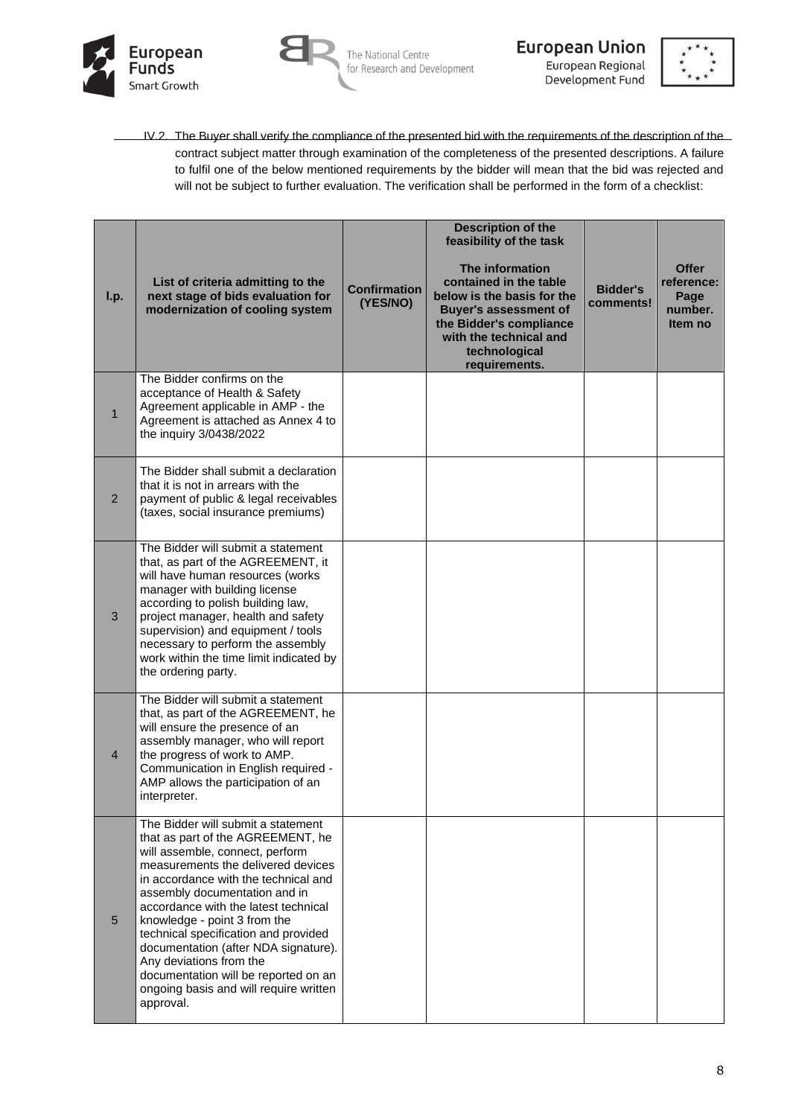



**European Union** European Regional Development Fund



IV.2. The Buyer shall verify the compliance of the presented bid with the requirements of the description of the contract subject matter through examination of the completeness of the presented descriptions. A failure to fulfil one of the below mentioned requirements by the bidder will mean that the bid was rejected and will not be subject to further evaluation. The verification shall be performed in the form of a checklist:

| I.p.           | List of criteria admitting to the<br>next stage of bids evaluation for<br>modernization of cooling system                                                                                                                                                                                                                                                                                                                                                                                                   | <b>Confirmation</b><br>(YES/NO) | <b>Description of the</b><br>feasibility of the task<br>The information<br>contained in the table<br>below is the basis for the<br><b>Buver's assessment of</b><br>the Bidder's compliance<br>with the technical and<br>technological<br>requirements. | <b>Bidder's</b><br>comments! | <b>Offer</b><br>reference:<br>Page<br>number.<br>Item no |
|----------------|-------------------------------------------------------------------------------------------------------------------------------------------------------------------------------------------------------------------------------------------------------------------------------------------------------------------------------------------------------------------------------------------------------------------------------------------------------------------------------------------------------------|---------------------------------|--------------------------------------------------------------------------------------------------------------------------------------------------------------------------------------------------------------------------------------------------------|------------------------------|----------------------------------------------------------|
| $\mathbf{1}$   | The Bidder confirms on the<br>acceptance of Health & Safety<br>Agreement applicable in AMP - the<br>Agreement is attached as Annex 4 to<br>the inquiry 3/0438/2022                                                                                                                                                                                                                                                                                                                                          |                                 |                                                                                                                                                                                                                                                        |                              |                                                          |
| $\overline{2}$ | The Bidder shall submit a declaration<br>that it is not in arrears with the<br>payment of public & legal receivables<br>(taxes, social insurance premiums)                                                                                                                                                                                                                                                                                                                                                  |                                 |                                                                                                                                                                                                                                                        |                              |                                                          |
| 3              | The Bidder will submit a statement<br>that, as part of the AGREEMENT, it<br>will have human resources (works<br>manager with building license<br>according to polish building law,<br>project manager, health and safety<br>supervision) and equipment / tools<br>necessary to perform the assembly<br>work within the time limit indicated by<br>the ordering party.                                                                                                                                       |                                 |                                                                                                                                                                                                                                                        |                              |                                                          |
| $\overline{4}$ | The Bidder will submit a statement<br>that, as part of the AGREEMENT, he<br>will ensure the presence of an<br>assembly manager, who will report<br>the progress of work to AMP.<br>Communication in English required -<br>AMP allows the participation of an<br>interpreter.                                                                                                                                                                                                                                |                                 |                                                                                                                                                                                                                                                        |                              |                                                          |
| 5              | The Bidder will submit a statement<br>that as part of the AGREEMENT, he<br>will assemble, connect, perform<br>measurements the delivered devices<br>in accordance with the technical and<br>assembly documentation and in<br>accordance with the latest technical<br>knowledge - point 3 from the<br>technical specification and provided<br>documentation (after NDA signature).<br>Any deviations from the<br>documentation will be reported on an<br>ongoing basis and will require written<br>approval. |                                 |                                                                                                                                                                                                                                                        |                              |                                                          |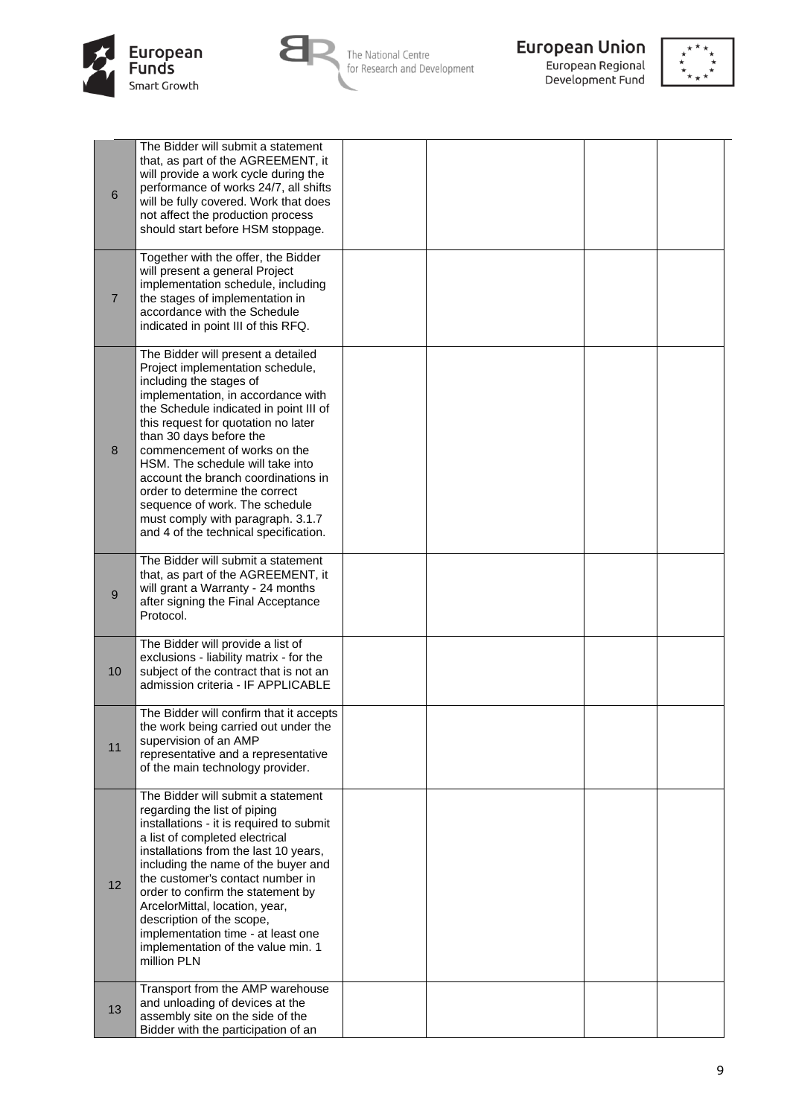



The National Centre<br>for Research and Development



**European Union**<br>European Regional<br>Development Fund



| 6              | The Bidder will submit a statement<br>that, as part of the AGREEMENT, it<br>will provide a work cycle during the<br>performance of works 24/7, all shifts<br>will be fully covered. Work that does<br>not affect the production process<br>should start before HSM stoppage.                                                                                                                                                                                                                                     |  |  |
|----------------|------------------------------------------------------------------------------------------------------------------------------------------------------------------------------------------------------------------------------------------------------------------------------------------------------------------------------------------------------------------------------------------------------------------------------------------------------------------------------------------------------------------|--|--|
| $\overline{7}$ | Together with the offer, the Bidder<br>will present a general Project<br>implementation schedule, including<br>the stages of implementation in<br>accordance with the Schedule<br>indicated in point III of this RFQ.                                                                                                                                                                                                                                                                                            |  |  |
| 8              | The Bidder will present a detailed<br>Project implementation schedule,<br>including the stages of<br>implementation, in accordance with<br>the Schedule indicated in point III of<br>this request for quotation no later<br>than 30 days before the<br>commencement of works on the<br>HSM. The schedule will take into<br>account the branch coordinations in<br>order to determine the correct<br>sequence of work. The schedule<br>must comply with paragraph. 3.1.7<br>and 4 of the technical specification. |  |  |
| 9              | The Bidder will submit a statement<br>that, as part of the AGREEMENT, it<br>will grant a Warranty - 24 months<br>after signing the Final Acceptance<br>Protocol.                                                                                                                                                                                                                                                                                                                                                 |  |  |
| 10             | The Bidder will provide a list of<br>exclusions - liability matrix - for the<br>subject of the contract that is not an<br>admission criteria - IF APPLICABLE                                                                                                                                                                                                                                                                                                                                                     |  |  |
| 11             | The Bidder will confirm that it accepts<br>the work being carried out under the<br>supervision of an AMP<br>representative and a representative<br>of the main technology provider.                                                                                                                                                                                                                                                                                                                              |  |  |
| 12             | The Bidder will submit a statement<br>regarding the list of piping<br>installations - it is required to submit<br>a list of completed electrical<br>installations from the last 10 years,<br>including the name of the buyer and<br>the customer's contact number in<br>order to confirm the statement by<br>ArcelorMittal, location, year,<br>description of the scope,<br>implementation time - at least one<br>implementation of the value min. 1<br>million PLN                                              |  |  |
| 13             | Transport from the AMP warehouse<br>and unloading of devices at the<br>assembly site on the side of the<br>Bidder with the participation of an                                                                                                                                                                                                                                                                                                                                                                   |  |  |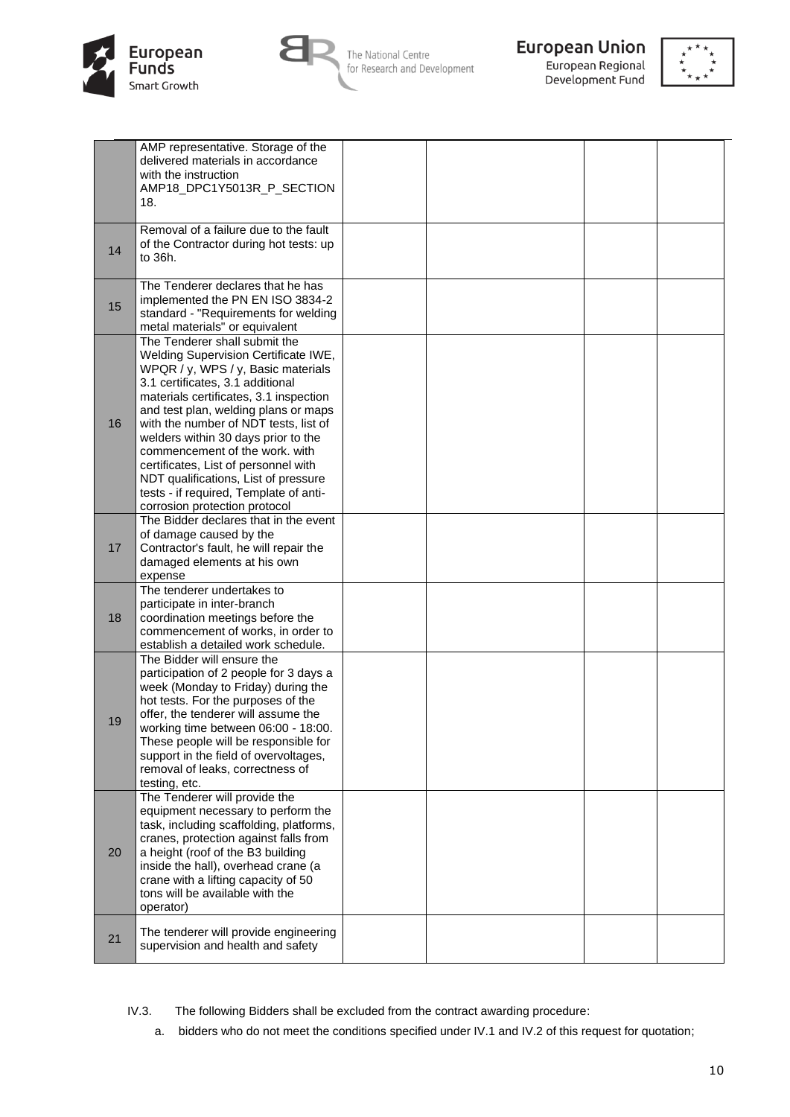



The National Centre for Research and Development



European Regional Development Fund



|    | AMP representative. Storage of the<br>delivered materials in accordance<br>with the instruction<br>AMP18_DPC1Y5013R_P_SECTION<br>18.                                                                                                                                                                                                                                                                                                                                                                           |  |  |
|----|----------------------------------------------------------------------------------------------------------------------------------------------------------------------------------------------------------------------------------------------------------------------------------------------------------------------------------------------------------------------------------------------------------------------------------------------------------------------------------------------------------------|--|--|
| 14 | Removal of a failure due to the fault<br>of the Contractor during hot tests: up<br>to 36h.                                                                                                                                                                                                                                                                                                                                                                                                                     |  |  |
| 15 | The Tenderer declares that he has<br>implemented the PN EN ISO 3834-2<br>standard - "Requirements for welding<br>metal materials" or equivalent                                                                                                                                                                                                                                                                                                                                                                |  |  |
| 16 | The Tenderer shall submit the<br>Welding Supervision Certificate IWE,<br>WPQR / y, WPS / y, Basic materials<br>3.1 certificates, 3.1 additional<br>materials certificates, 3.1 inspection<br>and test plan, welding plans or maps<br>with the number of NDT tests, list of<br>welders within 30 days prior to the<br>commencement of the work, with<br>certificates, List of personnel with<br>NDT qualifications, List of pressure<br>tests - if required, Template of anti-<br>corrosion protection protocol |  |  |
| 17 | The Bidder declares that in the event<br>of damage caused by the<br>Contractor's fault, he will repair the<br>damaged elements at his own<br>expense                                                                                                                                                                                                                                                                                                                                                           |  |  |
| 18 | The tenderer undertakes to<br>participate in inter-branch<br>coordination meetings before the<br>commencement of works, in order to<br>establish a detailed work schedule.                                                                                                                                                                                                                                                                                                                                     |  |  |
| 19 | The Bidder will ensure the<br>participation of 2 people for 3 days a<br>week (Monday to Friday) during the<br>hot tests. For the purposes of the<br>offer, the tenderer will assume the<br>working time between 06:00 - 18:00.<br>These people will be responsible for<br>support in the field of overvoltages,<br>removal of leaks, correctness of<br>testing, etc.                                                                                                                                           |  |  |
| 20 | The Tenderer will provide the<br>equipment necessary to perform the<br>task, including scaffolding, platforms,<br>cranes, protection against falls from<br>a height (roof of the B3 building<br>inside the hall), overhead crane (a<br>crane with a lifting capacity of 50<br>tons will be available with the<br>operator)                                                                                                                                                                                     |  |  |
| 21 | The tenderer will provide engineering<br>supervision and health and safety                                                                                                                                                                                                                                                                                                                                                                                                                                     |  |  |

IV.3. The following Bidders shall be excluded from the contract awarding procedure:

a. bidders who do not meet the conditions specified under IV.1 and IV.2 of this request for quotation;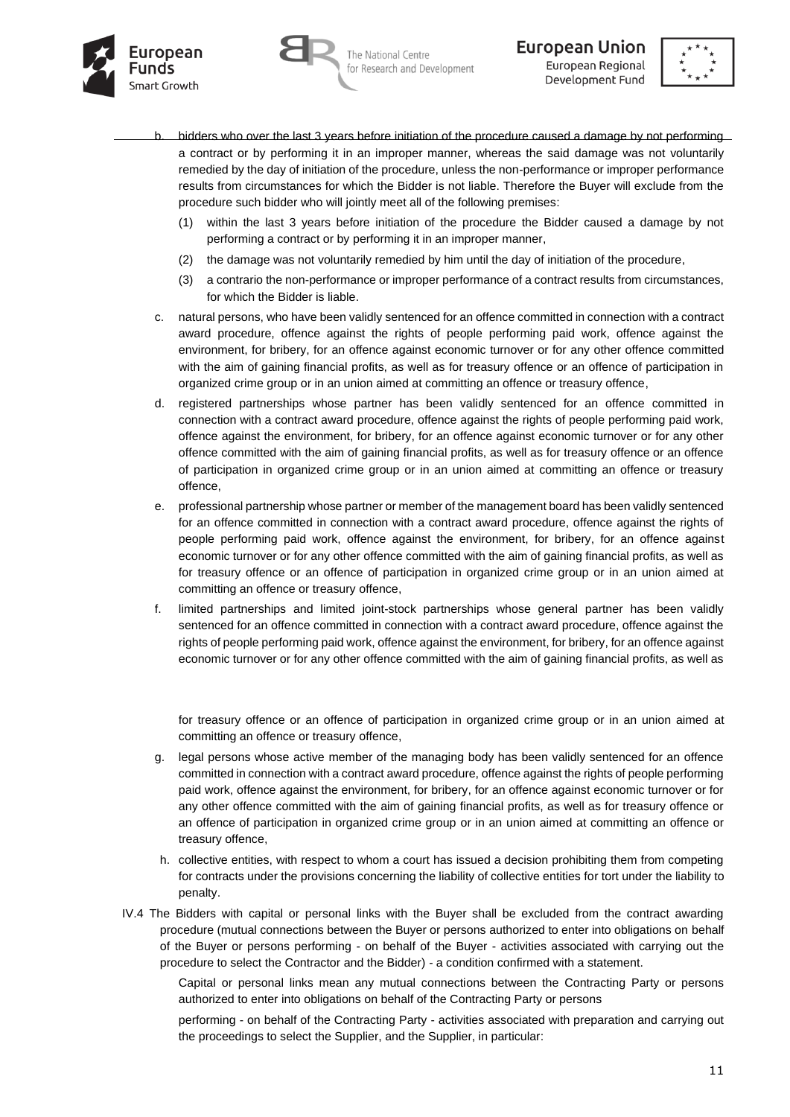





- bidders who over the last 3 years before initiation of the procedure caused a damage by not performing a contract or by performing it in an improper manner, whereas the said damage was not voluntarily remedied by the day of initiation of the procedure, unless the non-performance or improper performance results from circumstances for which the Bidder is not liable. Therefore the Buyer will exclude from the procedure such bidder who will jointly meet all of the following premises:
	- (1) within the last 3 years before initiation of the procedure the Bidder caused a damage by not performing a contract or by performing it in an improper manner,
	- (2) the damage was not voluntarily remedied by him until the day of initiation of the procedure,
	- (3) a contrario the non-performance or improper performance of a contract results from circumstances, for which the Bidder is liable.
- c. natural persons, who have been validly sentenced for an offence committed in connection with a contract award procedure, offence against the rights of people performing paid work, offence against the environment, for bribery, for an offence against economic turnover or for any other offence committed with the aim of gaining financial profits, as well as for treasury offence or an offence of participation in organized crime group or in an union aimed at committing an offence or treasury offence,
- d. registered partnerships whose partner has been validly sentenced for an offence committed in connection with a contract award procedure, offence against the rights of people performing paid work, offence against the environment, for bribery, for an offence against economic turnover or for any other offence committed with the aim of gaining financial profits, as well as for treasury offence or an offence of participation in organized crime group or in an union aimed at committing an offence or treasury offence,
- e. professional partnership whose partner or member of the management board has been validly sentenced for an offence committed in connection with a contract award procedure, offence against the rights of people performing paid work, offence against the environment, for bribery, for an offence against economic turnover or for any other offence committed with the aim of gaining financial profits, as well as for treasury offence or an offence of participation in organized crime group or in an union aimed at committing an offence or treasury offence,
- f. limited partnerships and limited joint-stock partnerships whose general partner has been validly sentenced for an offence committed in connection with a contract award procedure, offence against the rights of people performing paid work, offence against the environment, for bribery, for an offence against economic turnover or for any other offence committed with the aim of gaining financial profits, as well as

for treasury offence or an offence of participation in organized crime group or in an union aimed at committing an offence or treasury offence,

- g. legal persons whose active member of the managing body has been validly sentenced for an offence committed in connection with a contract award procedure, offence against the rights of people performing paid work, offence against the environment, for bribery, for an offence against economic turnover or for any other offence committed with the aim of gaining financial profits, as well as for treasury offence or an offence of participation in organized crime group or in an union aimed at committing an offence or treasury offence,
- h. collective entities, with respect to whom a court has issued a decision prohibiting them from competing for contracts under the provisions concerning the liability of collective entities for tort under the liability to penalty.
- IV.4 The Bidders with capital or personal links with the Buyer shall be excluded from the contract awarding procedure (mutual connections between the Buyer or persons authorized to enter into obligations on behalf of the Buyer or persons performing - on behalf of the Buyer - activities associated with carrying out the procedure to select the Contractor and the Bidder) - a condition confirmed with a statement.

Capital or personal links mean any mutual connections between the Contracting Party or persons authorized to enter into obligations on behalf of the Contracting Party or persons

performing - on behalf of the Contracting Party - activities associated with preparation and carrying out the proceedings to select the Supplier, and the Supplier, in particular: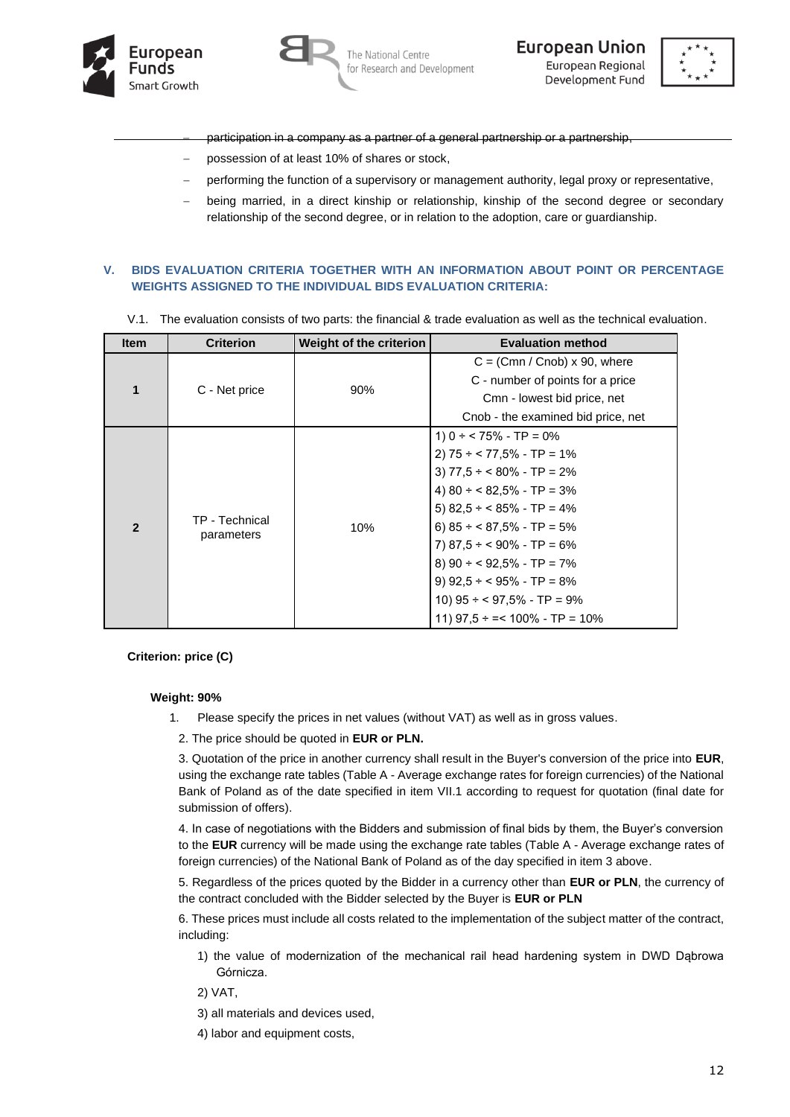





- participation in a company as a partner of a general partnership or a partnership
- − possession of at least 10% of shares or stock,
- performing the function of a supervisory or management authority, legal proxy or representative,
- being married, in a direct kinship or relationship, kinship of the second degree or secondary relationship of the second degree, or in relation to the adoption, care or guardianship.

### **V. BIDS EVALUATION CRITERIA TOGETHER WITH AN INFORMATION ABOUT POINT OR PERCENTAGE WEIGHTS ASSIGNED TO THE INDIVIDUAL BIDS EVALUATION CRITERIA:**

V.1. The evaluation consists of two parts: the financial & trade evaluation as well as the technical evaluation.

| <b>Item</b>    | <b>Criterion</b>             | Weight of the criterion | <b>Evaluation method</b>             |
|----------------|------------------------------|-------------------------|--------------------------------------|
|                |                              |                         | $C = (Cmn / Cnob) \times 90$ , where |
| 1              |                              |                         | C - number of points for a price     |
|                | C - Net price                | 90%                     | Cmn - lowest bid price, net          |
|                |                              |                         | Cnob - the examined bid price, net   |
|                | TP - Technical<br>parameters |                         | 1) $0 \div 75\%$ - TP = 0%           |
|                |                              |                         | $2)$ 75 ÷ < 77,5% - TP = 1%          |
|                |                              |                         | 3) $77,5 \div 80\%$ - TP = 2%        |
|                |                              | 10%                     | 4) $80 \div 82,5\%$ - TP = 3%        |
|                |                              |                         | 5) $82,5 \div 85\%$ - TP = 4%        |
| $\overline{2}$ |                              |                         | 6) $85 \div 87,5\%$ - TP = 5%        |
|                |                              |                         | 7) $87.5 \div 90\%$ - TP = 6%        |
|                |                              |                         | 8) $90 \div 92,5\%$ - TP = 7%        |
|                |                              |                         | 9) $92.5 \div 95\%$ - TP = 8%        |
|                |                              |                         | 10) $95 \div 97,5\%$ - TP = 9%       |
|                |                              |                         | 11) $97.5 \div = 100\% - TP = 10\%$  |

#### **Criterion: price (C)**

#### **Weight: 90%**

- 1. Please specify the prices in net values (without VAT) as well as in gross values.
	- 2. The price should be quoted in **EUR or PLN.**

3. Quotation of the price in another currency shall result in the Buyer's conversion of the price into **EUR**, using the exchange rate tables (Table A - Average exchange rates for foreign currencies) of the National Bank of Poland as of the date specified in item VII.1 according to request for quotation (final date for submission of offers).

4. In case of negotiations with the Bidders and submission of final bids by them, the Buyer's conversion to the **EUR** currency will be made using the exchange rate tables (Table A - Average exchange rates of foreign currencies) of the National Bank of Poland as of the day specified in item 3 above.

5. Regardless of the prices quoted by the Bidder in a currency other than **EUR or PLN**, the currency of the contract concluded with the Bidder selected by the Buyer is **EUR or PLN**

6. These prices must include all costs related to the implementation of the subject matter of the contract, including:

1) the value of modernization of the mechanical rail head hardening system in DWD Dąbrowa Górnicza.

2) VAT,

- 3) all materials and devices used,
- 4) labor and equipment costs,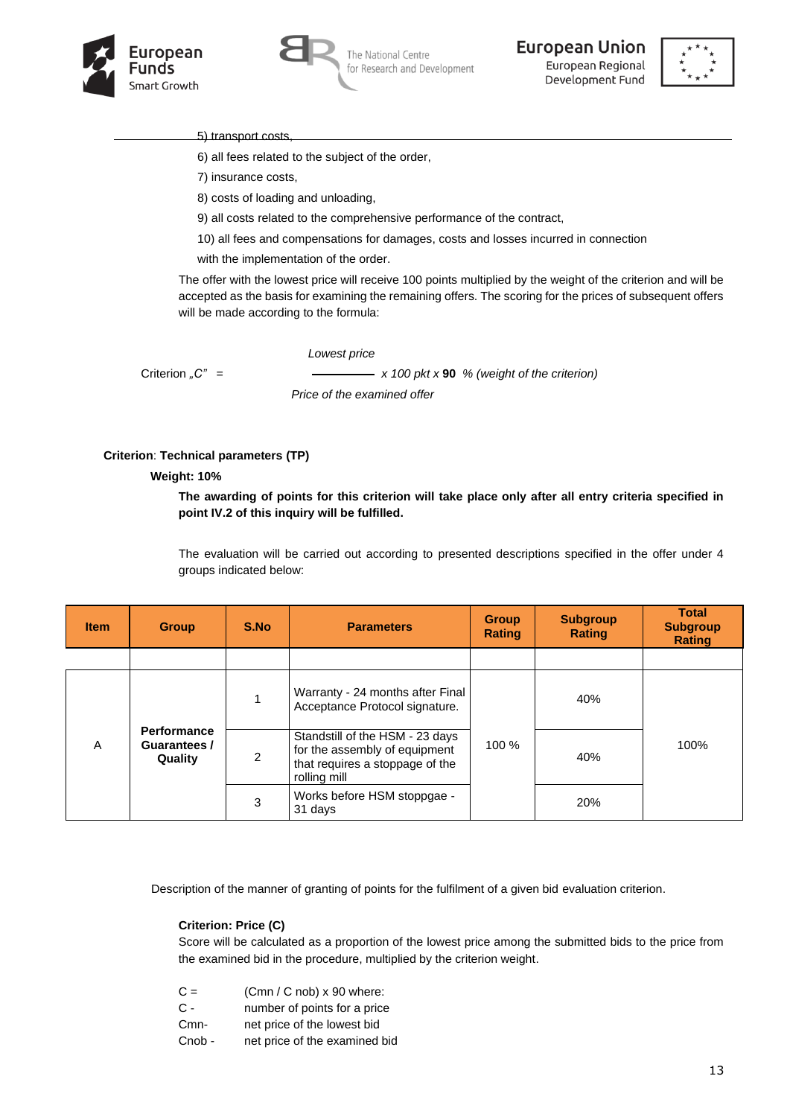



The National Centre for Research and Development **European Union** European Regional Development Fund



5) transport costs

6) all fees related to the subject of the order,

7) insurance costs,

8) costs of loading and unloading,

9) all costs related to the comprehensive performance of the contract,

10) all fees and compensations for damages, costs and losses incurred in connection

with the implementation of the order.

The offer with the lowest price will receive 100 points multiplied by the weight of the criterion and will be accepted as the basis for examining the remaining offers. The scoring for the prices of subsequent offers will be made according to the formula:

*Lowest price*

Criterion <sub>*n*</sub>C<sup>*n*</sup> =  $\frac{1}{\sqrt{2\pi}}$  x 100 pkt x **90** % (weight of the criterion)

 *Price of the examined offer*

#### **Criterion**: **Technical parameters (TP)**

#### **Weight: 10%**

**The awarding of points for this criterion will take place only after all entry criteria specified in point IV.2 of this inquiry will be fulfilled.**

The evaluation will be carried out according to presented descriptions specified in the offer under 4 groups indicated below:

| <b>Item</b> | <b>Group</b>                                  | S.No           | <b>Parameters</b>                                                                                                   | <b>Group</b><br><b>Rating</b> | <b>Subgroup</b><br><b>Rating</b> | <b>Total</b><br><b>Subgroup</b><br><b>Rating</b> |  |
|-------------|-----------------------------------------------|----------------|---------------------------------------------------------------------------------------------------------------------|-------------------------------|----------------------------------|--------------------------------------------------|--|
|             |                                               |                |                                                                                                                     |                               |                                  |                                                  |  |
|             |                                               |                | Warranty - 24 months after Final<br>Acceptance Protocol signature.                                                  |                               | 40%                              |                                                  |  |
| A           | <b>Performance</b><br>Guarantees /<br>Quality | $\mathfrak{p}$ | Standstill of the HSM - 23 days<br>for the assembly of equipment<br>that requires a stoppage of the<br>rolling mill | 100 %                         | 40%                              | 100%                                             |  |
|             |                                               | 3              | Works before HSM stoppgae -<br>31 days                                                                              |                               | 20%                              |                                                  |  |

Description of the manner of granting of points for the fulfilment of a given bid evaluation criterion.

#### **Criterion: Price (C)**

Score will be calculated as a proportion of the lowest price among the submitted bids to the price from the examined bid in the procedure, multiplied by the criterion weight.

 $C =$  (Cmn / C nob) x 90 where:

C - number of points for a price

Cmn- net price of the lowest bid

Cnob - net price of the examined bid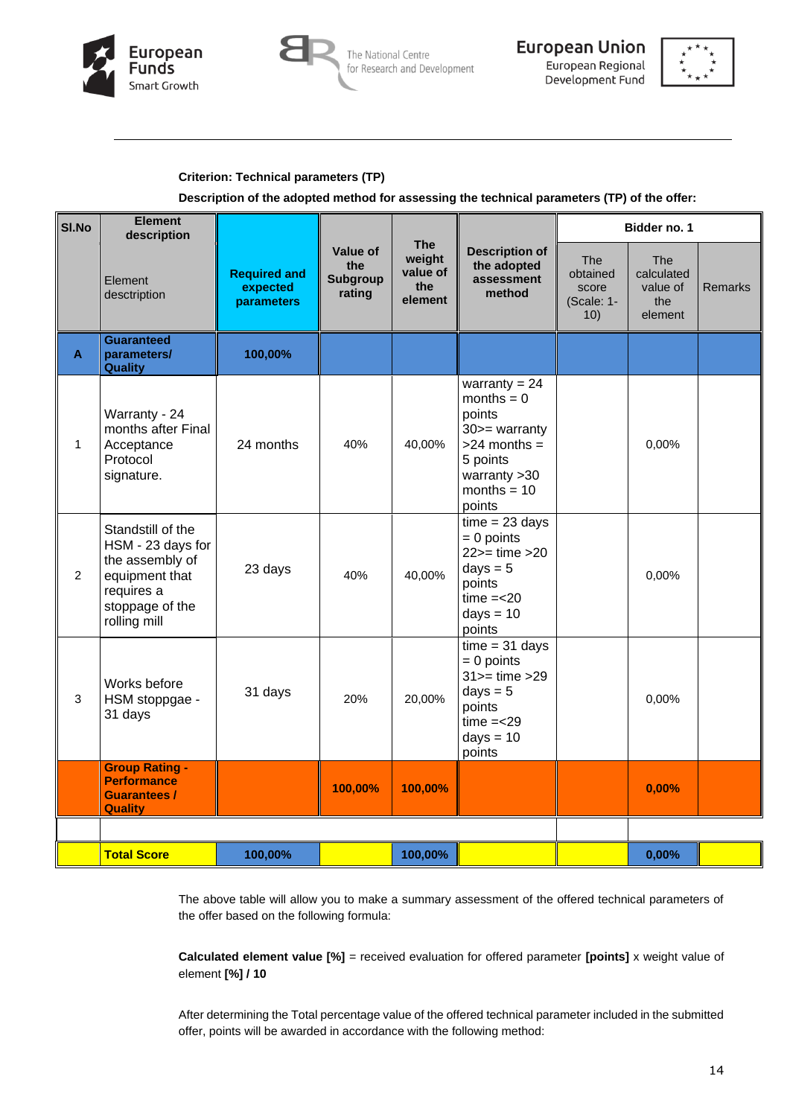



European Union European Regional Development Fund



# **Criterion: Technical parameters (TP)**

# **Description of the adopted method for assessing the technical parameters (TP) of the offer:**

| SI.No                     | <b>Element</b><br>description                                                                                                |                                               |                                                     |                                                    |                                                                                                                                           |                                                      | Bidder no. 1                                           |                |
|---------------------------|------------------------------------------------------------------------------------------------------------------------------|-----------------------------------------------|-----------------------------------------------------|----------------------------------------------------|-------------------------------------------------------------------------------------------------------------------------------------------|------------------------------------------------------|--------------------------------------------------------|----------------|
|                           | Element<br>desctription                                                                                                      | <b>Required and</b><br>expected<br>parameters | <b>Value of</b><br>the<br><b>Subgroup</b><br>rating | <b>The</b><br>weight<br>value of<br>the<br>element | <b>Description of</b><br>the adopted<br>assessment<br>method                                                                              | <b>The</b><br>obtained<br>score<br>(Scale: 1-<br>10) | <b>The</b><br>calculated<br>value of<br>the<br>element | <b>Remarks</b> |
| $\boldsymbol{\mathsf{A}}$ | <b>Guaranteed</b><br>parameters/<br><b>Quality</b>                                                                           | 100,00%                                       |                                                     |                                                    |                                                                                                                                           |                                                      |                                                        |                |
| $\mathbf{1}$              | Warranty - 24<br>months after Final<br>Acceptance<br>Protocol<br>signature.                                                  | 24 months                                     | 40%                                                 | 40,00%                                             | warranty = $24$<br>months $= 0$<br>points<br>$30$ > = warranty<br>$>24$ months =<br>5 points<br>warranty $>30$<br>months = $10$<br>points |                                                      | 0,00%                                                  |                |
| $\overline{2}$            | Standstill of the<br>HSM - 23 days for<br>the assembly of<br>equipment that<br>requires a<br>stoppage of the<br>rolling mill | 23 days                                       | 40%                                                 | 40,00%                                             | $time = 23 days$<br>$= 0$ points<br>$22$ = time > 20<br>$days = 5$<br>points<br>$time = < 20$<br>$days = 10$<br>points                    |                                                      | 0,00%                                                  |                |
| 3                         | Works before<br>HSM stoppgae -<br>31 days                                                                                    | 31 days                                       | 20%                                                 | 20,00%                                             | $time = 31$ days<br>$= 0$ points<br>$31$ = time > 29<br>days $= 5$<br>points<br>$time = < 29$<br>$days = 10$<br>points                    |                                                      | 0,00%                                                  |                |
|                           | <b>Group Rating -</b><br><b>Performance</b><br><b>Guarantees /</b><br><b>Quality</b>                                         |                                               | 100,00%                                             | 100,00%                                            |                                                                                                                                           |                                                      | 0,00%                                                  |                |
|                           |                                                                                                                              |                                               |                                                     |                                                    |                                                                                                                                           |                                                      |                                                        |                |
|                           | <b>Total Score</b>                                                                                                           | 100,00%                                       |                                                     | 100,00%                                            |                                                                                                                                           |                                                      | 0,00%                                                  |                |

The above table will allow you to make a summary assessment of the offered technical parameters of the offer based on the following formula:

**Calculated element value [%]** = received evaluation for offered parameter **[points]** x weight value of element **[%] / 10**

After determining the Total percentage value of the offered technical parameter included in the submitted offer, points will be awarded in accordance with the following method: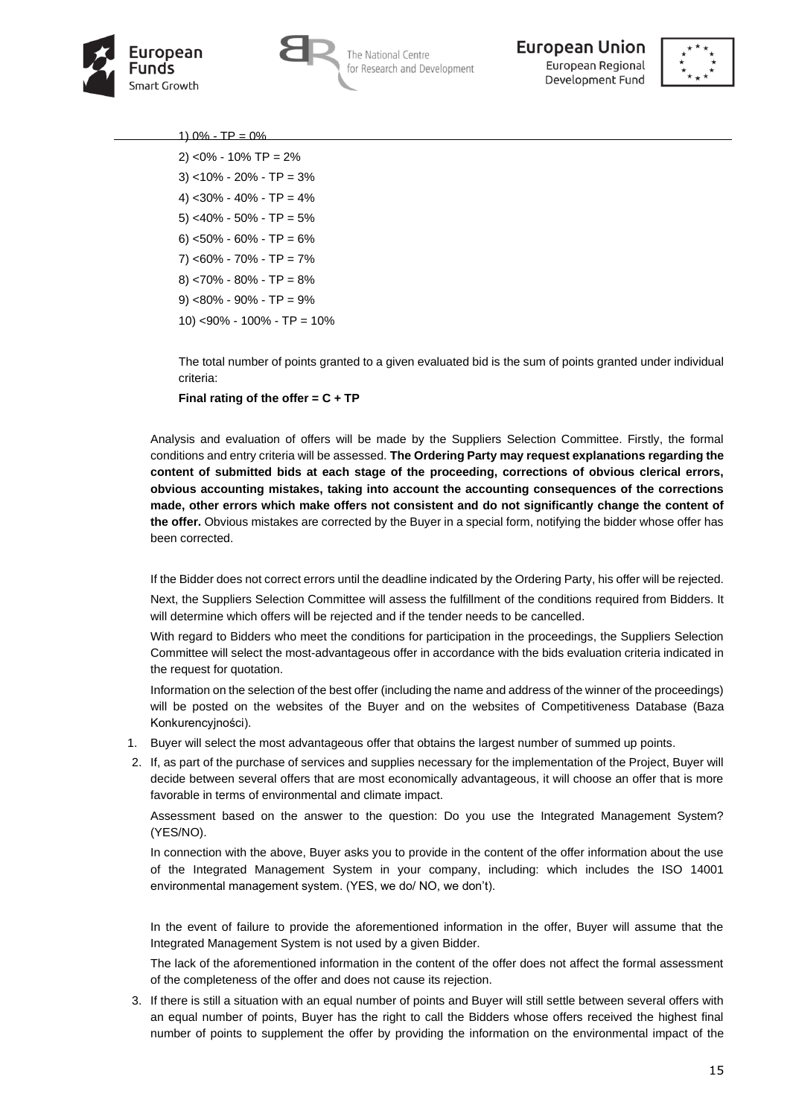





#### 1)  $0\%$  - TP =  $0\%$

2) <0% - 10% TP = 2%  $3)$  <10% - 20% - TP = 3% 4) <30% - 40% - TP = 4% 5) <40% - 50% - TP = 5% 6) <50% - 60% - TP = 6%  $7)$  <60% - 70% - TP = 7%  $8)$  <70% - 80% - TP = 8% 9) <80% - 90% - TP = 9% 10) <90% - 100% - TP = 10%

The total number of points granted to a given evaluated bid is the sum of points granted under individual criteria:

**Final rating of the offer = C + TP**

Analysis and evaluation of offers will be made by the Suppliers Selection Committee. Firstly, the formal conditions and entry criteria will be assessed. **The Ordering Party may request explanations regarding the content of submitted bids at each stage of the proceeding, corrections of obvious clerical errors, obvious accounting mistakes, taking into account the accounting consequences of the corrections made, other errors which make offers not consistent and do not significantly change the content of the offer.** Obvious mistakes are corrected by the Buyer in a special form, notifying the bidder whose offer has been corrected.

If the Bidder does not correct errors until the deadline indicated by the Ordering Party, his offer will be rejected.

Next, the Suppliers Selection Committee will assess the fulfillment of the conditions required from Bidders. It will determine which offers will be rejected and if the tender needs to be cancelled.

With regard to Bidders who meet the conditions for participation in the proceedings, the Suppliers Selection Committee will select the most-advantageous offer in accordance with the bids evaluation criteria indicated in the request for quotation.

Information on the selection of the best offer (including the name and address of the winner of the proceedings) will be posted on the websites of the Buyer and on the websites of Competitiveness Database (Baza Konkurencyjności).

- 1. Buyer will select the most advantageous offer that obtains the largest number of summed up points.
- 2. If, as part of the purchase of services and supplies necessary for the implementation of the Project, Buyer will decide between several offers that are most economically advantageous, it will choose an offer that is more favorable in terms of environmental and climate impact.

Assessment based on the answer to the question: Do you use the Integrated Management System? (YES/NO).

In connection with the above, Buyer asks you to provide in the content of the offer information about the use of the Integrated Management System in your company, including: which includes the ISO 14001 environmental management system. (YES, we do/ NO, we don't).

In the event of failure to provide the aforementioned information in the offer, Buyer will assume that the Integrated Management System is not used by a given Bidder.

The lack of the aforementioned information in the content of the offer does not affect the formal assessment of the completeness of the offer and does not cause its rejection.

3. If there is still a situation with an equal number of points and Buyer will still settle between several offers with an equal number of points, Buyer has the right to call the Bidders whose offers received the highest final number of points to supplement the offer by providing the information on the environmental impact of the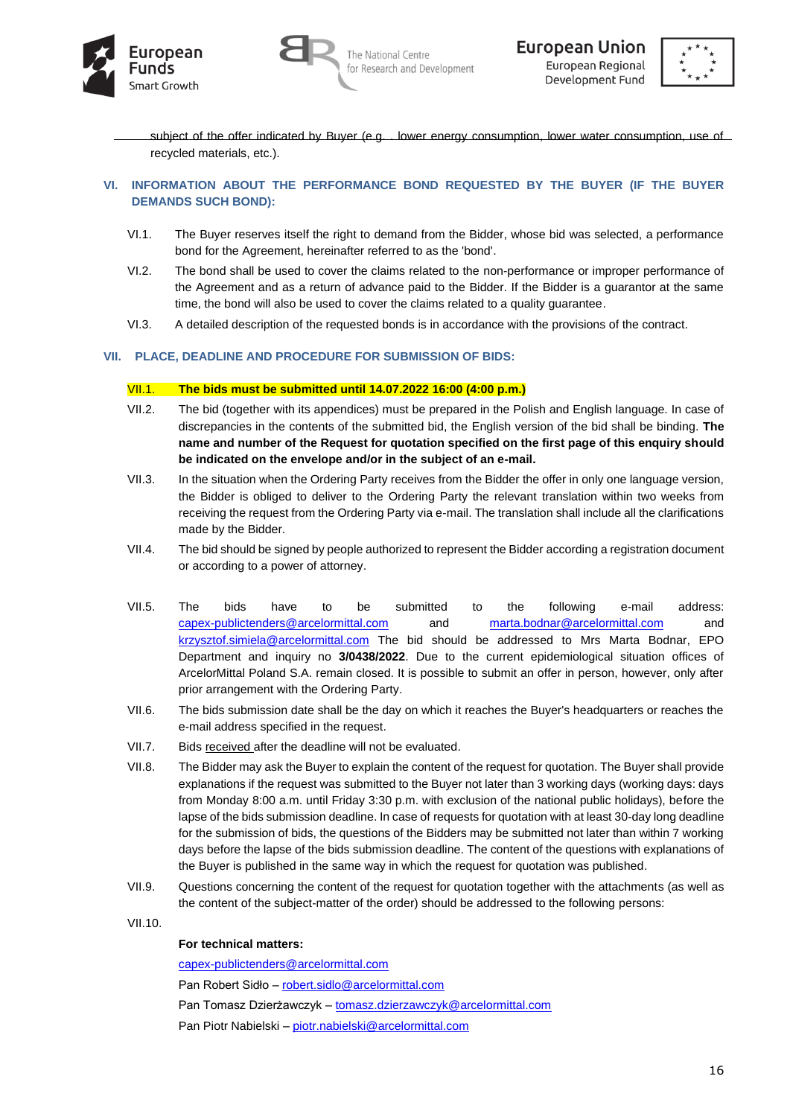





subject of the offer indicated by Buyer (e.g. . lower energy consumption, lower water consumption, use of recycled materials, etc.).

## **VI. INFORMATION ABOUT THE PERFORMANCE BOND REQUESTED BY THE BUYER (IF THE BUYER DEMANDS SUCH BOND):**

- VI.1. The Buyer reserves itself the right to demand from the Bidder, whose bid was selected, a performance bond for the Agreement, hereinafter referred to as the 'bond'.
- VI.2. The bond shall be used to cover the claims related to the non-performance or improper performance of the Agreement and as a return of advance paid to the Bidder. If the Bidder is a guarantor at the same time, the bond will also be used to cover the claims related to a quality guarantee.
- VI.3. A detailed description of the requested bonds is in accordance with the provisions of the contract.

## **VII. PLACE, DEADLINE AND PROCEDURE FOR SUBMISSION OF BIDS:**

#### VII.1. **The bids must be submitted until 14.07.2022 16:00 (4:00 p.m.)**

- VII.2. The bid (together with its appendices) must be prepared in the Polish and English language. In case of discrepancies in the contents of the submitted bid, the English version of the bid shall be binding. **The name and number of the Request for quotation specified on the first page of this enquiry should be indicated on the envelope and/or in the subject of an e-mail.**
- VII.3. In the situation when the Ordering Party receives from the Bidder the offer in only one language version, the Bidder is obliged to deliver to the Ordering Party the relevant translation within two weeks from receiving the request from the Ordering Party via e-mail. The translation shall include all the clarifications made by the Bidder.
- VII.4. The bid should be signed by people authorized to represent the Bidder according a registration document or according to a power of attorney.
- VII.5. The bids have to be submitted to the following e-mail address: [capex-publictenders@arcelormittal.com](mailto:capex-publictenders@arcelormittal.com) and [marta.bodnar@arcelormittal.com](mailto:marta.bodnar@arcelormittal.com) and [krzysztof.simiela@arcelormittal.com](mailto:krzysztof.simiela@arcelormittal.com) The bid should be addressed to Mrs Marta Bodnar, EPO Department and inquiry no **3/0438/2022**. Due to the current epidemiological situation offices of ArcelorMittal Poland S.A. remain closed. It is possible to submit an offer in person, however, only after prior arrangement with the Ordering Party.
- VII.6. The bids submission date shall be the day on which it reaches the Buyer's headquarters or reaches the e-mail address specified in the request.
- VII.7. Bids received after the deadline will not be evaluated.
- VII.8. The Bidder may ask the Buyer to explain the content of the request for quotation. The Buyer shall provide explanations if the request was submitted to the Buyer not later than 3 working days (working days: days from Monday 8:00 a.m. until Friday 3:30 p.m. with exclusion of the national public holidays), before the lapse of the bids submission deadline. In case of requests for quotation with at least 30-day long deadline for the submission of bids, the questions of the Bidders may be submitted not later than within 7 working days before the lapse of the bids submission deadline. The content of the questions with explanations of the Buyer is published in the same way in which the request for quotation was published.
- VII.9. Questions concerning the content of the request for quotation together with the attachments (as well as the content of the subject-matter of the order) should be addressed to the following persons:
- VII.10.

#### **For technical matters:**

[capex-publictenders@arcelormittal.com](mailto:capex-publictenders@arcelormittal.com@arcelormittal.com)

Pan Robert Sidło – [robert.sidlo@arcelormittal.com](mailto:robert.sidlo@arcelormittal.com)

Pan Tomasz Dzierżawczyk – [tomasz.dzierzawczyk@arcelormittal.com](mailto:tomasz.dzierzawczyk@arcelormittal.com)

Pan Piotr Nabielski – [piotr.nabielski@arcelormittal.com](mailto:piotr.nabielski@arcelormittal.com)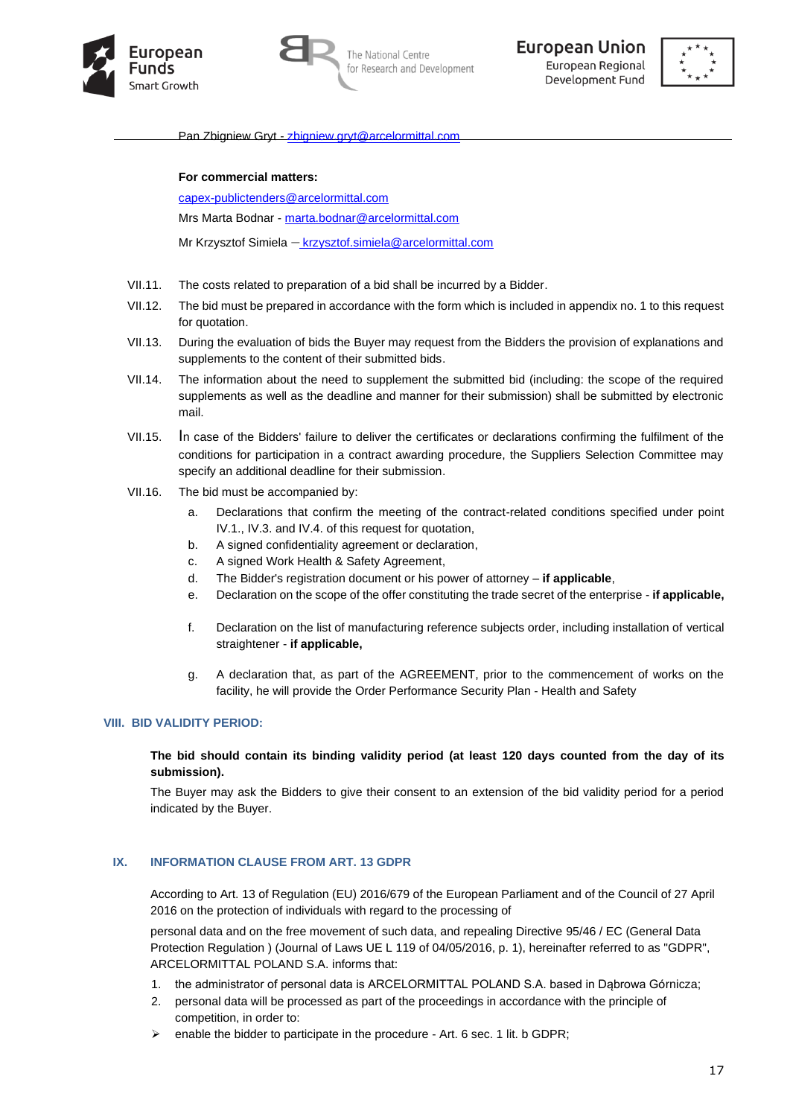





Pan Zbigniew Gryt - [zbigniew.gryt@arcelormittal.com](mailto:zbigniew.gryt@arcelormittal.com)

**For commercial matters:** 

[capex-publictenders@arcelormittal.com](mailto:capex-publictenders@arcelormittal.com@arcelormittal.com)

Mrs Marta Bodnar - [marta.bodnar@arcelormittal.com](mailto:marta.bodnar@arcelormittal.com)

Mr Krzysztof Simiela – krzysztof.simiela@arcelormittal.com

- VII.11. The costs related to preparation of a bid shall be incurred by a Bidder.
- VII.12. The bid must be prepared in accordance with the form which is included in appendix no. 1 to this request for quotation.
- VII.13. During the evaluation of bids the Buyer may request from the Bidders the provision of explanations and supplements to the content of their submitted bids.
- VII.14. The information about the need to supplement the submitted bid (including: the scope of the required supplements as well as the deadline and manner for their submission) shall be submitted by electronic mail.
- VII.15. In case of the Bidders' failure to deliver the certificates or declarations confirming the fulfilment of the conditions for participation in a contract awarding procedure, the Suppliers Selection Committee may specify an additional deadline for their submission.
- VII.16. The bid must be accompanied by:
	- a. Declarations that confirm the meeting of the contract-related conditions specified under point IV.1., IV.3. and IV.4. of this request for quotation,
	- b. A signed confidentiality agreement or declaration,
	- c. A signed Work Health & Safety Agreement,
	- d. The Bidder's registration document or his power of attorney **if applicable**,
	- e. Declaration on the scope of the offer constituting the trade secret of the enterprise **if applicable,**
	- f. Declaration on the list of manufacturing reference subjects order, including installation of vertical straightener - **if applicable,**
	- g. A declaration that, as part of the AGREEMENT, prior to the commencement of works on the facility, he will provide the Order Performance Security Plan - Health and Safety

#### **VIII. BID VALIDITY PERIOD:**

## **The bid should contain its binding validity period (at least 120 days counted from the day of its submission).**

The Buyer may ask the Bidders to give their consent to an extension of the bid validity period for a period indicated by the Buyer.

#### **IX. INFORMATION CLAUSE FROM ART. 13 GDPR**

According to Art. 13 of Regulation (EU) 2016/679 of the European Parliament and of the Council of 27 April 2016 on the protection of individuals with regard to the processing of

personal data and on the free movement of such data, and repealing Directive 95/46 / EC (General Data Protection Regulation ) (Journal of Laws UE L 119 of 04/05/2016, p. 1), hereinafter referred to as "GDPR", ARCELORMITTAL POLAND S.A. informs that:

- 1. the administrator of personal data is ARCELORMITTAL POLAND S.A. based in Dąbrowa Górnicza;
- 2. personal data will be processed as part of the proceedings in accordance with the principle of competition, in order to:
- ➢ enable the bidder to participate in the procedure Art. 6 sec. 1 lit. b GDPR;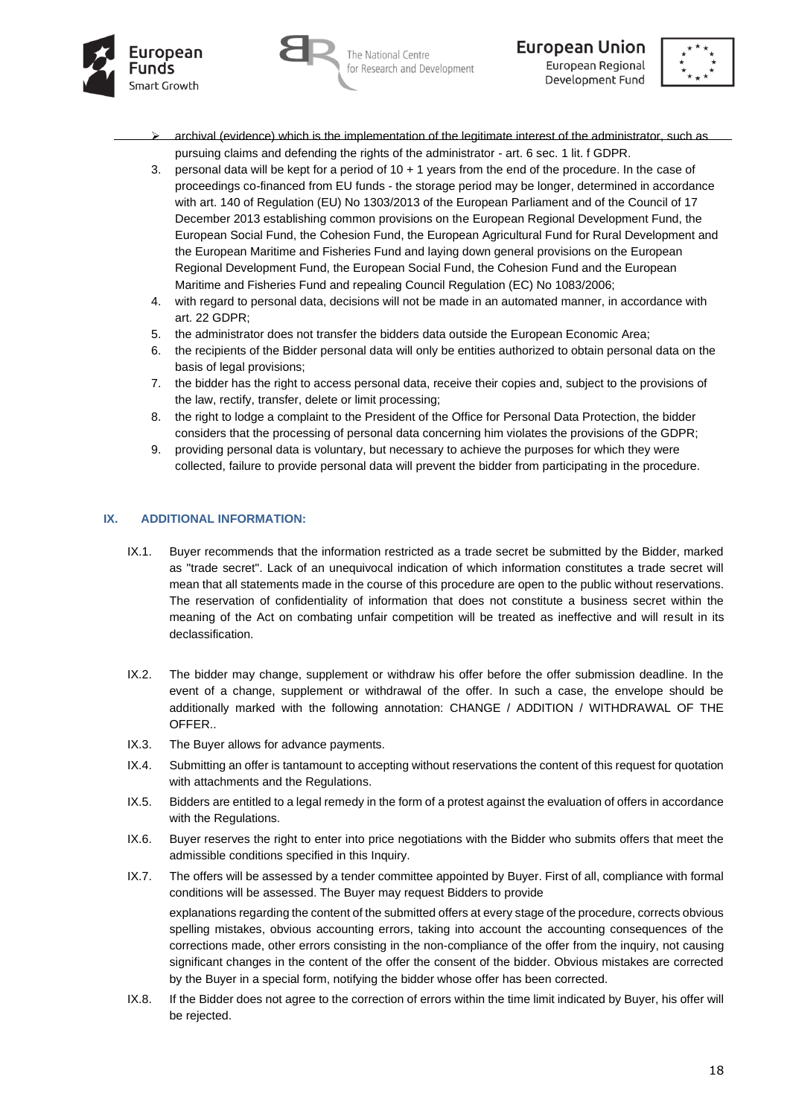





- archival (evidence) which is the implementation of the legitimate interest of the administrator, such as pursuing claims and defending the rights of the administrator - art. 6 sec. 1 lit. f GDPR.
- 3. personal data will be kept for a period of 10 + 1 years from the end of the procedure. In the case of proceedings co-financed from EU funds - the storage period may be longer, determined in accordance with art. 140 of Regulation (EU) No 1303/2013 of the European Parliament and of the Council of 17 December 2013 establishing common provisions on the European Regional Development Fund, the European Social Fund, the Cohesion Fund, the European Agricultural Fund for Rural Development and the European Maritime and Fisheries Fund and laying down general provisions on the European Regional Development Fund, the European Social Fund, the Cohesion Fund and the European Maritime and Fisheries Fund and repealing Council Regulation (EC) No 1083/2006;
- 4. with regard to personal data, decisions will not be made in an automated manner, in accordance with art. 22 GDPR;
- 5. the administrator does not transfer the bidders data outside the European Economic Area;
- 6. the recipients of the Bidder personal data will only be entities authorized to obtain personal data on the basis of legal provisions;
- 7. the bidder has the right to access personal data, receive their copies and, subject to the provisions of the law, rectify, transfer, delete or limit processing;
- 8. the right to lodge a complaint to the President of the Office for Personal Data Protection, the bidder considers that the processing of personal data concerning him violates the provisions of the GDPR;
- 9. providing personal data is voluntary, but necessary to achieve the purposes for which they were collected, failure to provide personal data will prevent the bidder from participating in the procedure.

## **IX. ADDITIONAL INFORMATION:**

- IX.1. Buyer recommends that the information restricted as a trade secret be submitted by the Bidder, marked as "trade secret". Lack of an unequivocal indication of which information constitutes a trade secret will mean that all statements made in the course of this procedure are open to the public without reservations. The reservation of confidentiality of information that does not constitute a business secret within the meaning of the Act on combating unfair competition will be treated as ineffective and will result in its declassification.
- IX.2. The bidder may change, supplement or withdraw his offer before the offer submission deadline. In the event of a change, supplement or withdrawal of the offer. In such a case, the envelope should be additionally marked with the following annotation: CHANGE / ADDITION / WITHDRAWAL OF THE OFFER..
- IX.3. The Buyer allows for advance payments.
- IX.4. Submitting an offer is tantamount to accepting without reservations the content of this request for quotation with attachments and the Regulations.
- IX.5. Bidders are entitled to a legal remedy in the form of a protest against the evaluation of offers in accordance with the Regulations.
- IX.6. Buyer reserves the right to enter into price negotiations with the Bidder who submits offers that meet the admissible conditions specified in this Inquiry.
- IX.7. The offers will be assessed by a tender committee appointed by Buyer. First of all, compliance with formal conditions will be assessed. The Buyer may request Bidders to provide

explanations regarding the content of the submitted offers at every stage of the procedure, corrects obvious spelling mistakes, obvious accounting errors, taking into account the accounting consequences of the corrections made, other errors consisting in the non-compliance of the offer from the inquiry, not causing significant changes in the content of the offer the consent of the bidder. Obvious mistakes are corrected by the Buyer in a special form, notifying the bidder whose offer has been corrected.

IX.8. If the Bidder does not agree to the correction of errors within the time limit indicated by Buyer, his offer will be rejected.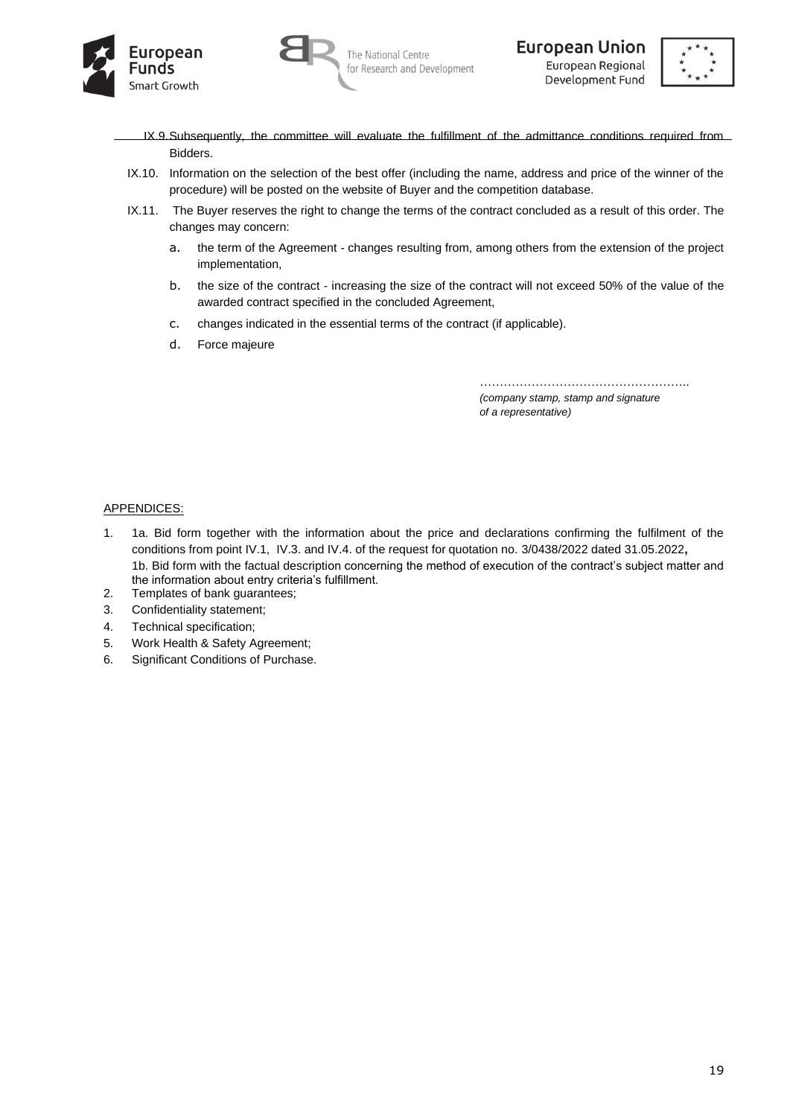





- IX.9.Subsequently, the committee will evaluate the fulfillment of the admittance conditions required from Bidders.
- IX.10. Information on the selection of the best offer (including the name, address and price of the winner of the procedure) will be posted on the website of Buyer and the competition database.
- IX.11. The Buyer reserves the right to change the terms of the contract concluded as a result of this order. The changes may concern:
	- a. the term of the Agreement changes resulting from, among others from the extension of the project implementation,
	- b. the size of the contract increasing the size of the contract will not exceed 50% of the value of the awarded contract specified in the concluded Agreement,
	- c. changes indicated in the essential terms of the contract (if applicable).
	- d. Force majeure

…………………………………………….. *(company stamp, stamp and signature of a representative)*

#### APPENDICES:

- 1. 1a. Bid form together with the information about the price and declarations confirming the fulfilment of the conditions from point IV.1, IV.3. and IV.4. of the request for quotation no. 3/0438/2022 dated 31.05.2022**,** 1b. Bid form with the factual description concerning the method of execution of the contract's subject matter and the information about entry criteria's fulfillment.
- 2. Templates of bank guarantees;
- 3. Confidentiality statement;
- 4. Technical specification;
- 5. Work Health & Safety Agreement;
- 6. Significant Conditions of Purchase.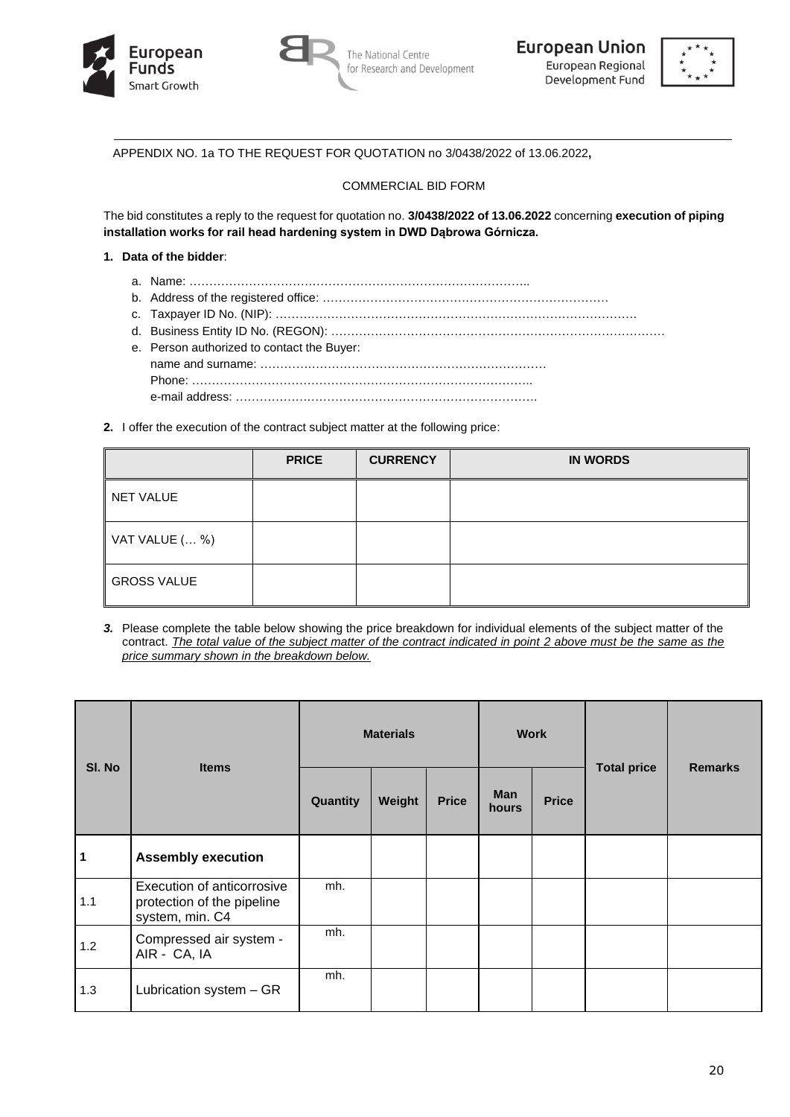





APPENDIX NO. 1a TO THE REQUEST FOR QUOTATION no 3/0438/2022 of 13.06.2022**,**

#### COMMERCIAL BID FORM

The bid constitutes a reply to the request for quotation no. **3/0438/2022 of 13.06.2022** concerning **execution of piping installation works for rail head hardening system in DWD Dąbrowa Górnicza.**

#### **1. Data of the bidder**:

- a. Name: …………………………………………………………………………..
- b. Address of the registered office: ………………………………………………………………
- c. Taxpayer ID No. (NIP): ……………………………………………………………………………….
- d. Business Entity ID No. (REGON): ………………………………………………………………………… e. Person authorized to contact the Buyer: name and surname: ……………………………………………………………… Phone: ………………………………………………………………………….. e-mail address: ………………………………………………………………….
- **2.** I offer the execution of the contract subject matter at the following price:

|                    | <b>PRICE</b> | <b>CURRENCY</b> | <b>IN WORDS</b> |
|--------------------|--------------|-----------------|-----------------|
| <b>NET VALUE</b>   |              |                 |                 |
| VAT VALUE ( %)     |              |                 |                 |
| <b>GROSS VALUE</b> |              |                 |                 |

*3.* Please complete the table below showing the price breakdown for individual elements of the subject matter of the contract. *The total value of the subject matter of the contract indicated in point 2 above must be the same as the price summary shown in the breakdown below.*

| SI. No | <b>Items</b>                                                                | <b>Materials</b> |        |              |                     | <b>Work</b>  | <b>Total price</b> | <b>Remarks</b> |
|--------|-----------------------------------------------------------------------------|------------------|--------|--------------|---------------------|--------------|--------------------|----------------|
|        |                                                                             | Quantity         | Weight | <b>Price</b> | <b>Man</b><br>hours | <b>Price</b> |                    |                |
| 1      | <b>Assembly execution</b>                                                   |                  |        |              |                     |              |                    |                |
| 1.1    | Execution of anticorrosive<br>protection of the pipeline<br>system, min. C4 | mh.              |        |              |                     |              |                    |                |
| $1.2$  | Compressed air system -<br>AIR - CA, IA                                     | mh.              |        |              |                     |              |                    |                |
| 1.3    | Lubrication system - GR                                                     | mh.              |        |              |                     |              |                    |                |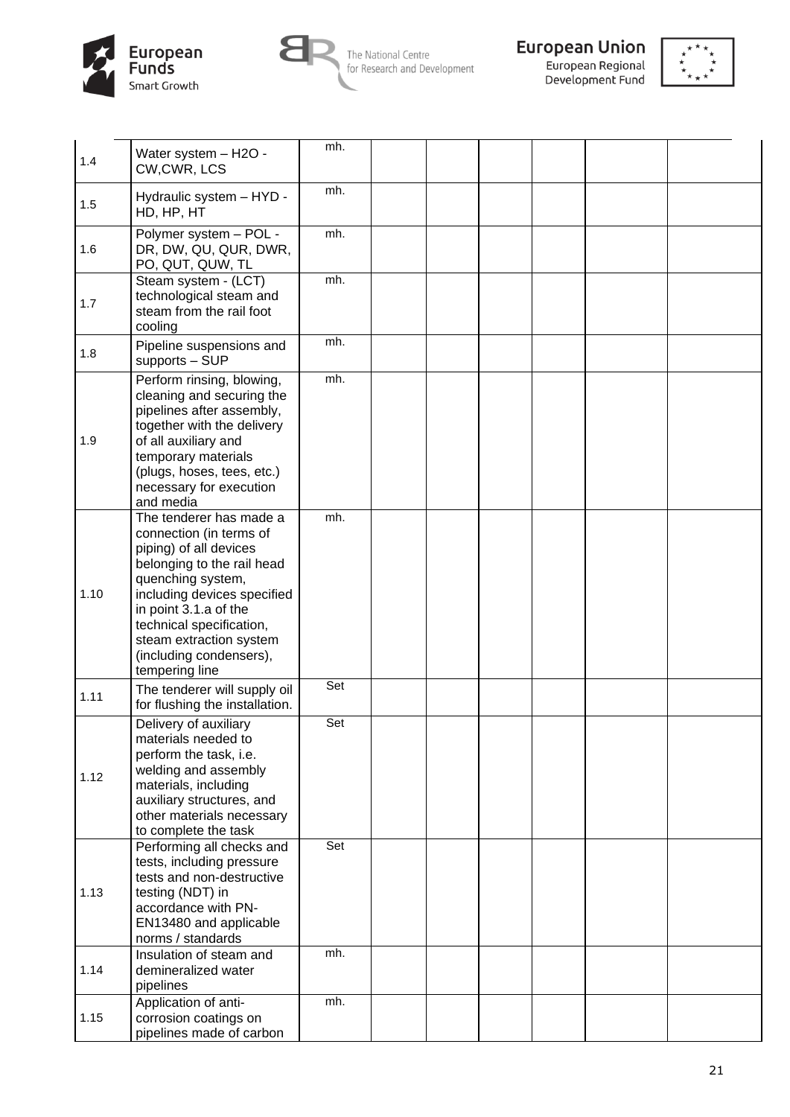



The National Centre<br>for Research and Development



**European Union**<br>European Regional<br>Development Fund



| 1.4  | Water system - H2O -<br>CW,CWR, LCS                                                                                                                                                                                                                                                         | mh. |  |  |  |
|------|---------------------------------------------------------------------------------------------------------------------------------------------------------------------------------------------------------------------------------------------------------------------------------------------|-----|--|--|--|
| 1.5  | Hydraulic system - HYD -<br>HD, HP, HT                                                                                                                                                                                                                                                      | mh. |  |  |  |
| 1.6  | Polymer system - POL -<br>DR, DW, QU, QUR, DWR,<br>PO, QUT, QUW, TL                                                                                                                                                                                                                         | mh. |  |  |  |
| 1.7  | Steam system - (LCT)<br>technological steam and<br>steam from the rail foot<br>cooling                                                                                                                                                                                                      | mh. |  |  |  |
| 1.8  | Pipeline suspensions and<br>supports - SUP                                                                                                                                                                                                                                                  | mh. |  |  |  |
| 1.9  | Perform rinsing, blowing,<br>cleaning and securing the<br>pipelines after assembly,<br>together with the delivery<br>of all auxiliary and<br>temporary materials<br>(plugs, hoses, tees, etc.)<br>necessary for execution<br>and media                                                      | mh. |  |  |  |
| 1.10 | The tenderer has made a<br>connection (in terms of<br>piping) of all devices<br>belonging to the rail head<br>quenching system,<br>including devices specified<br>in point 3.1.a of the<br>technical specification,<br>steam extraction system<br>(including condensers),<br>tempering line | mh. |  |  |  |
| 1.11 | The tenderer will supply oil<br>for flushing the installation.                                                                                                                                                                                                                              | Set |  |  |  |
| 1.12 | Delivery of auxiliary<br>materials needed to<br>perform the task, i.e.<br>welding and assembly<br>materials, including<br>auxiliary structures, and<br>other materials necessary<br>to complete the task                                                                                    | Set |  |  |  |
| 1.13 | Performing all checks and<br>tests, including pressure<br>tests and non-destructive<br>testing (NDT) in<br>accordance with PN-<br>EN13480 and applicable<br>norms / standards                                                                                                               | Set |  |  |  |
| 1.14 | Insulation of steam and<br>demineralized water<br>pipelines                                                                                                                                                                                                                                 | mh. |  |  |  |
| 1.15 | Application of anti-<br>corrosion coatings on<br>pipelines made of carbon                                                                                                                                                                                                                   | mh. |  |  |  |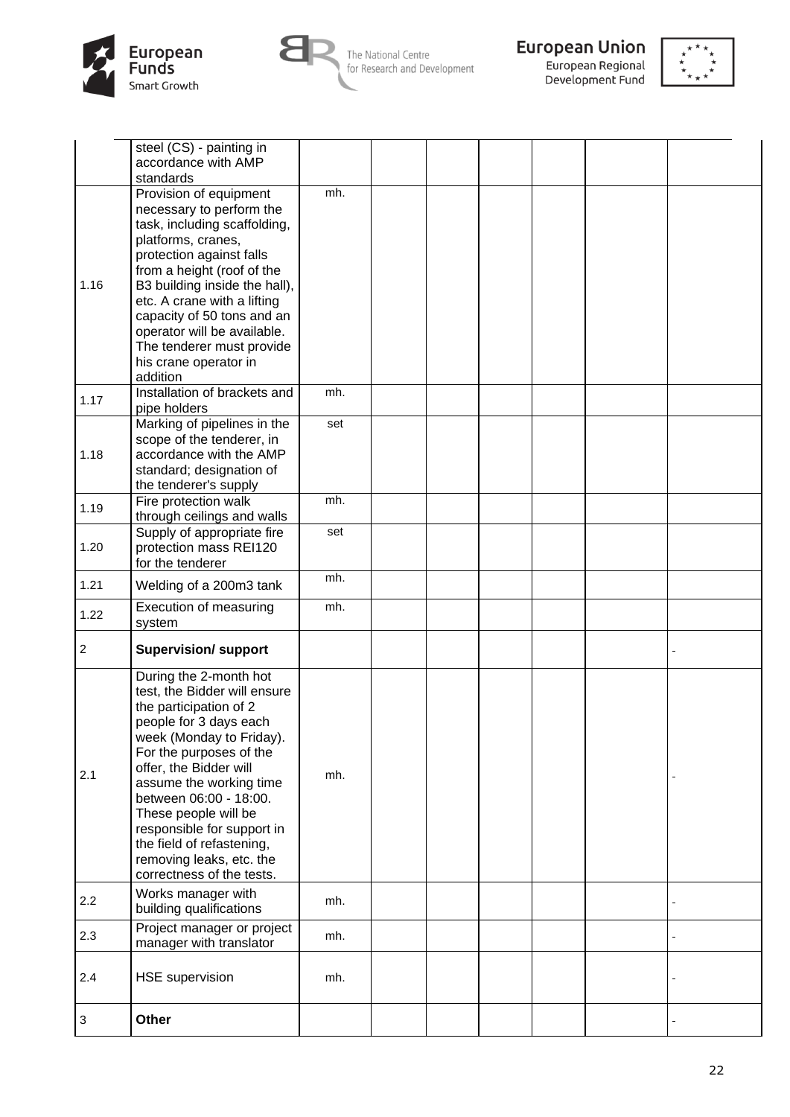



**European Union**<br>European Regional<br>Development Fund



|                | steel (CS) - painting in<br>accordance with AMP<br>standards                                                                                                                                                                                                                                                                                                                                 |     |  |  |  |
|----------------|----------------------------------------------------------------------------------------------------------------------------------------------------------------------------------------------------------------------------------------------------------------------------------------------------------------------------------------------------------------------------------------------|-----|--|--|--|
| 1.16           | Provision of equipment<br>necessary to perform the<br>task, including scaffolding,<br>platforms, cranes,<br>protection against falls<br>from a height (roof of the<br>B3 building inside the hall),<br>etc. A crane with a lifting<br>capacity of 50 tons and an<br>operator will be available.<br>The tenderer must provide<br>his crane operator in<br>addition                            | mh. |  |  |  |
| 1.17           | Installation of brackets and<br>pipe holders                                                                                                                                                                                                                                                                                                                                                 | mh. |  |  |  |
| 1.18           | Marking of pipelines in the<br>scope of the tenderer, in<br>accordance with the AMP<br>standard; designation of<br>the tenderer's supply                                                                                                                                                                                                                                                     | set |  |  |  |
| 1.19           | Fire protection walk<br>through ceilings and walls                                                                                                                                                                                                                                                                                                                                           | mh. |  |  |  |
| 1.20           | Supply of appropriate fire<br>protection mass REI120<br>for the tenderer                                                                                                                                                                                                                                                                                                                     | set |  |  |  |
| 1.21           | Welding of a 200m3 tank                                                                                                                                                                                                                                                                                                                                                                      | mh. |  |  |  |
| 1.22           | Execution of measuring<br>system                                                                                                                                                                                                                                                                                                                                                             | mh. |  |  |  |
| $\overline{c}$ | <b>Supervision/ support</b>                                                                                                                                                                                                                                                                                                                                                                  |     |  |  |  |
| 2.1            | During the 2-month hot<br>test, the Bidder will ensure<br>the participation of 2<br>people for 3 days each<br>week (Monday to Friday).<br>For the purposes of the<br>offer, the Bidder will<br>assume the working time<br>between 06:00 - 18:00.<br>These people will be<br>responsible for support in<br>the field of refastening,<br>removing leaks, etc. the<br>correctness of the tests. | mh. |  |  |  |
| 2.2            | Works manager with<br>building qualifications                                                                                                                                                                                                                                                                                                                                                | mh. |  |  |  |
| 2.3            | Project manager or project<br>manager with translator                                                                                                                                                                                                                                                                                                                                        | mh. |  |  |  |
| 2.4            | <b>HSE</b> supervision                                                                                                                                                                                                                                                                                                                                                                       | mh. |  |  |  |
| $\mathbf 3$    | Other                                                                                                                                                                                                                                                                                                                                                                                        |     |  |  |  |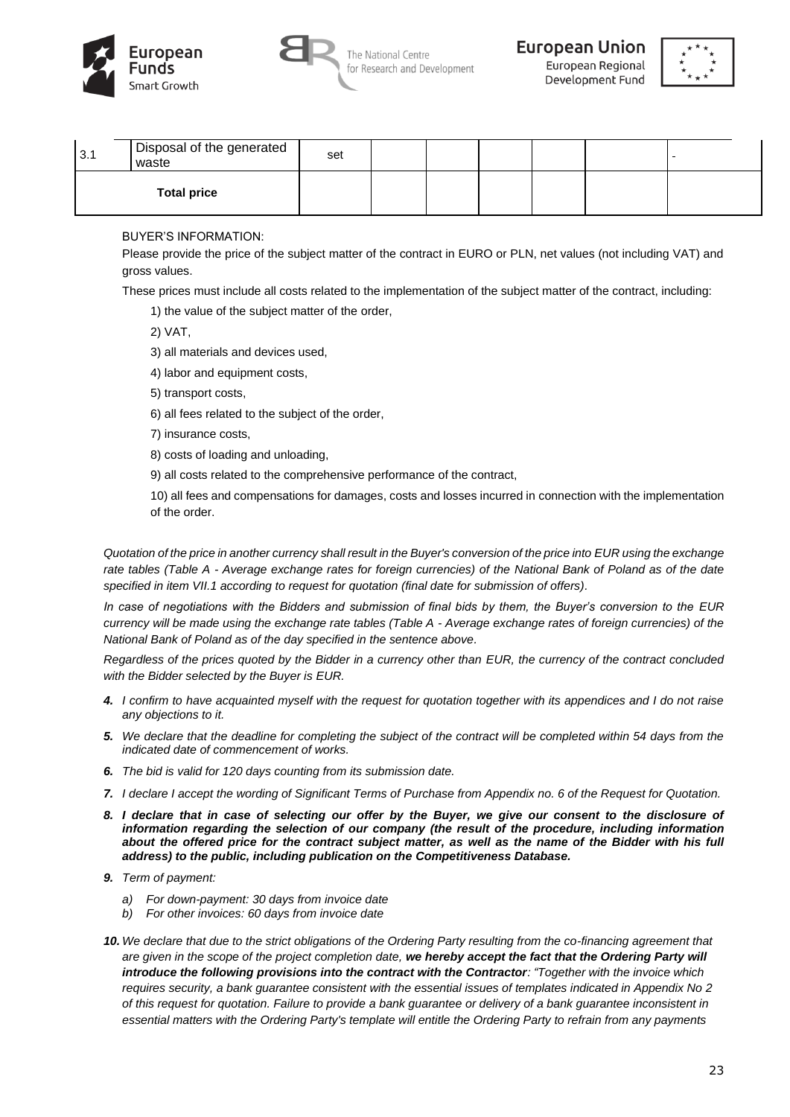







| 3.1 | Disposal of the generated<br>waste | set |  |  |  |
|-----|------------------------------------|-----|--|--|--|
|     | <b>Total price</b>                 |     |  |  |  |

BUYER'S INFORMATION:

Please provide the price of the subject matter of the contract in EURO or PLN, net values (not including VAT) and gross values.

These prices must include all costs related to the implementation of the subject matter of the contract, including:

1) the value of the subject matter of the order,

2) VAT,

- 3) all materials and devices used,
- 4) labor and equipment costs,
- 5) transport costs,
- 6) all fees related to the subject of the order,
- 7) insurance costs,
- 8) costs of loading and unloading,
- 9) all costs related to the comprehensive performance of the contract,
- 10) all fees and compensations for damages, costs and losses incurred in connection with the implementation of the order.

*Quotation of the price in another currency shall result in the Buyer's conversion of the price into EUR using the exchange rate tables (Table A - Average exchange rates for foreign currencies) of the National Bank of Poland as of the date specified in item VII.1 according to request for quotation (final date for submission of offers).* 

*In case of negotiations with the Bidders and submission of final bids by them, the Buyer's conversion to the EUR currency will be made using the exchange rate tables (Table A - Average exchange rates of foreign currencies) of the National Bank of Poland as of the day specified in the sentence above.*

*Regardless of the prices quoted by the Bidder in a currency other than EUR, the currency of the contract concluded with the Bidder selected by the Buyer is EUR.* 

- *4. I confirm to have acquainted myself with the request for quotation together with its appendices and I do not raise any objections to it.*
- *5. We declare that the deadline for completing the subject of the contract will be completed within 54 days from the indicated date of commencement of works.*
- *6. The bid is valid for 120 days counting from its submission date.*
- *7. I declare I accept the wording of Significant Terms of Purchase from Appendix no. 6 of the Request for Quotation.*
- *8. I declare that in case of selecting our offer by the Buyer, we give our consent to the disclosure of information regarding the selection of our company (the result of the procedure, including information about the offered price for the contract subject matter, as well as the name of the Bidder with his full address) to the public, including publication on the Competitiveness Database.*
- *9. Term of payment:* 
	- *a) For down-payment: 30 days from invoice date*
	- *b) For other invoices: 60 days from invoice date*
- *10. We declare that due to the strict obligations of the Ordering Party resulting from the co-financing agreement that are given in the scope of the project completion date, we hereby accept the fact that the Ordering Party will introduce the following provisions into the contract with the Contractor: "Together with the invoice which requires security, a bank guarantee consistent with the essential issues of templates indicated in Appendix No 2 of this request for quotation. Failure to provide a bank guarantee or delivery of a bank guarantee inconsistent in essential matters with the Ordering Party's template will entitle the Ordering Party to refrain from any payments*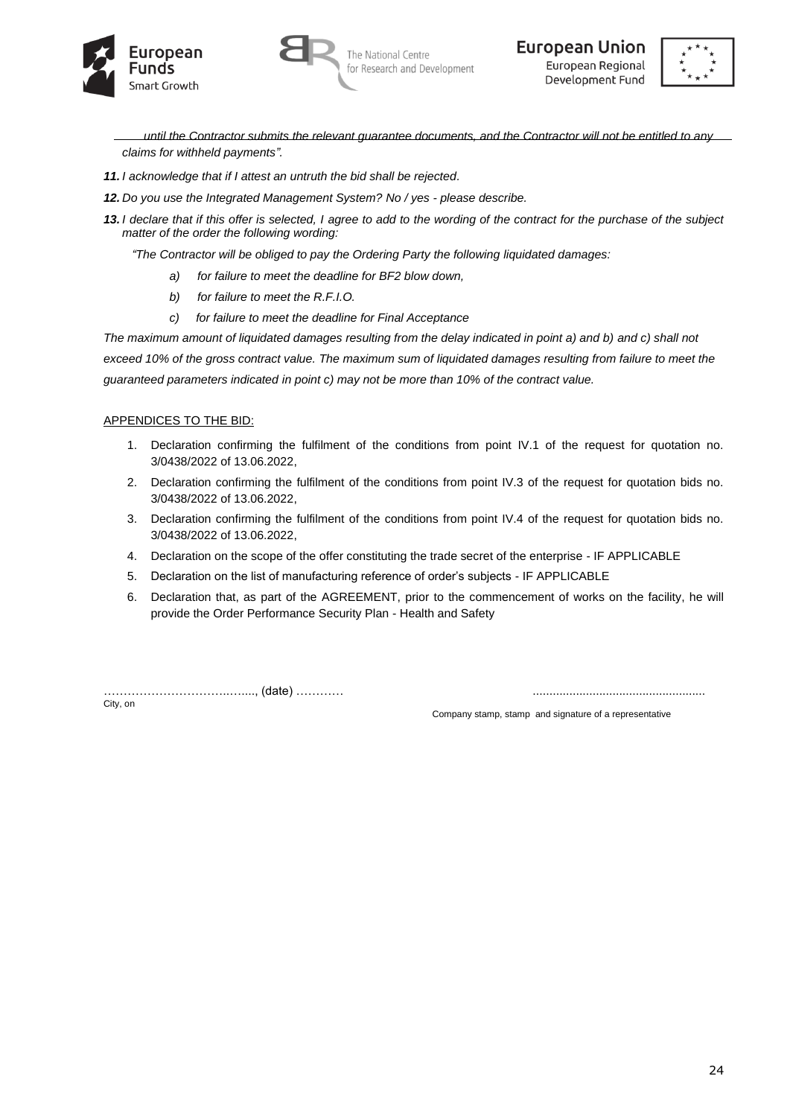





*until the Contractor submits the relevant guarantee documents, and the Contractor will not be entitled to any claims for withheld payments".*

- *11. I acknowledge that if I attest an untruth the bid shall be rejected.*
- *12. Do you use the Integrated Management System? No / yes - please describe.*
- *13. I declare that if this offer is selected, I agree to add to the wording of the contract for the purchase of the subject matter of the order the following wording:*

*"The Contractor will be obliged to pay the Ordering Party the following liquidated damages:*

- *a) for failure to meet the deadline for BF2 blow down,*
- *b) for failure to meet the R.F.I.O.*
- *c) for failure to meet the deadline for Final Acceptance*

*The maximum amount of liquidated damages resulting from the delay indicated in point a) and b) and c) shall not exceed 10% of the gross contract value. The maximum sum of liquidated damages resulting from failure to meet the guaranteed parameters indicated in point c) may not be more than 10% of the contract value.*

## APPENDICES TO THE BID:

- 1. Declaration confirming the fulfilment of the conditions from point IV.1 of the request for quotation no. 3/0438/2022 of 13.06.2022,
- 2. Declaration confirming the fulfilment of the conditions from point IV.3 of the request for quotation bids no. 3/0438/2022 of 13.06.2022,
- 3. Declaration confirming the fulfilment of the conditions from point IV.4 of the request for quotation bids no. 3/0438/2022 of 13.06.2022,
- 4. Declaration on the scope of the offer constituting the trade secret of the enterprise IF APPLICABLE
- 5. Declaration on the list of manufacturing reference of order's subjects IF APPLICABLE
- 6. Declaration that, as part of the AGREEMENT, prior to the commencement of works on the facility, he will provide the Order Performance Security Plan - Health and Safety

…………………………..…...., (date) ………… ....................................................

City, on Company stamp, stamp and signature of a representative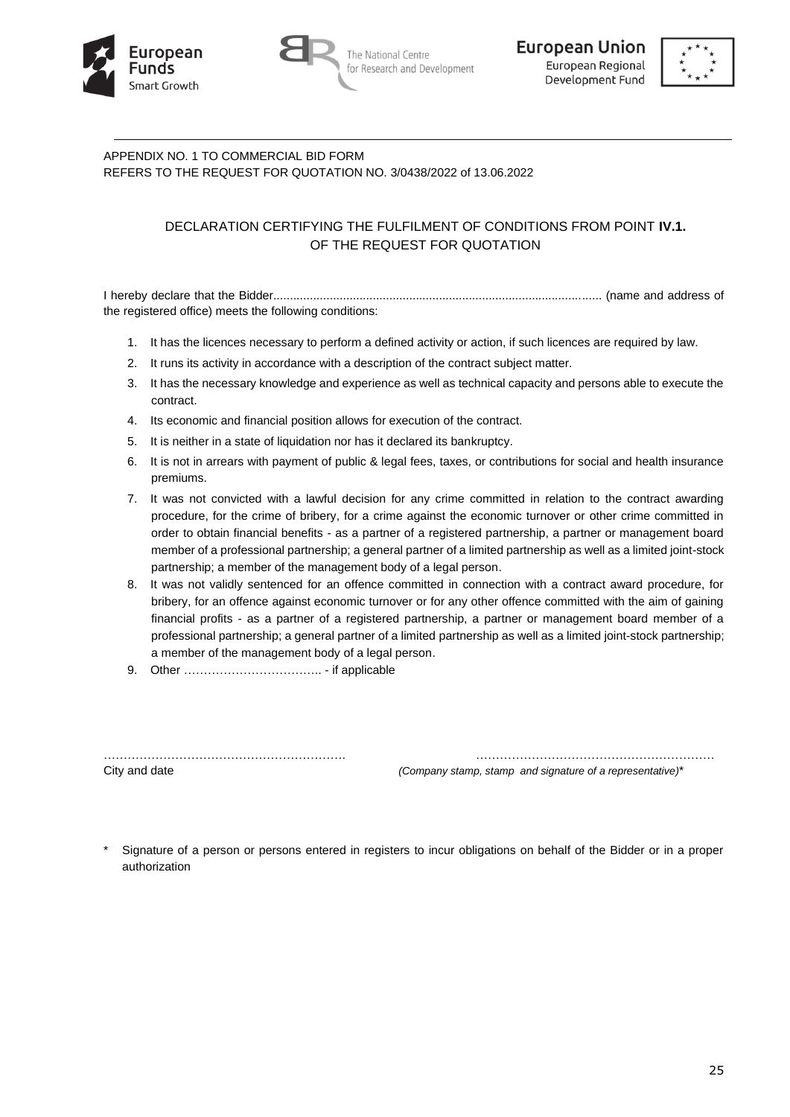





# APPENDIX NO. 1 TO COMMERCIAL BID FORM REFERS TO THE REQUEST FOR QUOTATION NO. 3/0438/2022 of 13.06.2022

# DECLARATION CERTIFYING THE FULFILMENT OF CONDITIONS FROM POINT **IV.1.** OF THE REQUEST FOR QUOTATION

I hereby declare that the Bidder................................................................................................... (name and address of the registered office) meets the following conditions:

- 1. It has the licences necessary to perform a defined activity or action, if such licences are required by law.
- 2. It runs its activity in accordance with a description of the contract subject matter.
- 3. It has the necessary knowledge and experience as well as technical capacity and persons able to execute the contract.
- 4. Its economic and financial position allows for execution of the contract.
- 5. It is neither in a state of liquidation nor has it declared its bankruptcy.
- 6. It is not in arrears with payment of public & legal fees, taxes, or contributions for social and health insurance premiums.
- 7. It was not convicted with a lawful decision for any crime committed in relation to the contract awarding procedure, for the crime of bribery, for a crime against the economic turnover or other crime committed in order to obtain financial benefits - as a partner of a registered partnership, a partner or management board member of a professional partnership; a general partner of a limited partnership as well as a limited joint-stock partnership; a member of the management body of a legal person.
- 8. It was not validly sentenced for an offence committed in connection with a contract award procedure, for bribery, for an offence against economic turnover or for any other offence committed with the aim of gaining financial profits - as a partner of a registered partnership, a partner or management board member of a professional partnership; a general partner of a limited partnership as well as a limited joint-stock partnership; a member of the management body of a legal person.
- 9. Other …………………………….. if applicable

……………………………………………………. ……………………………………………………

City and date *(Company stamp, stamp and signature of a representative)*\*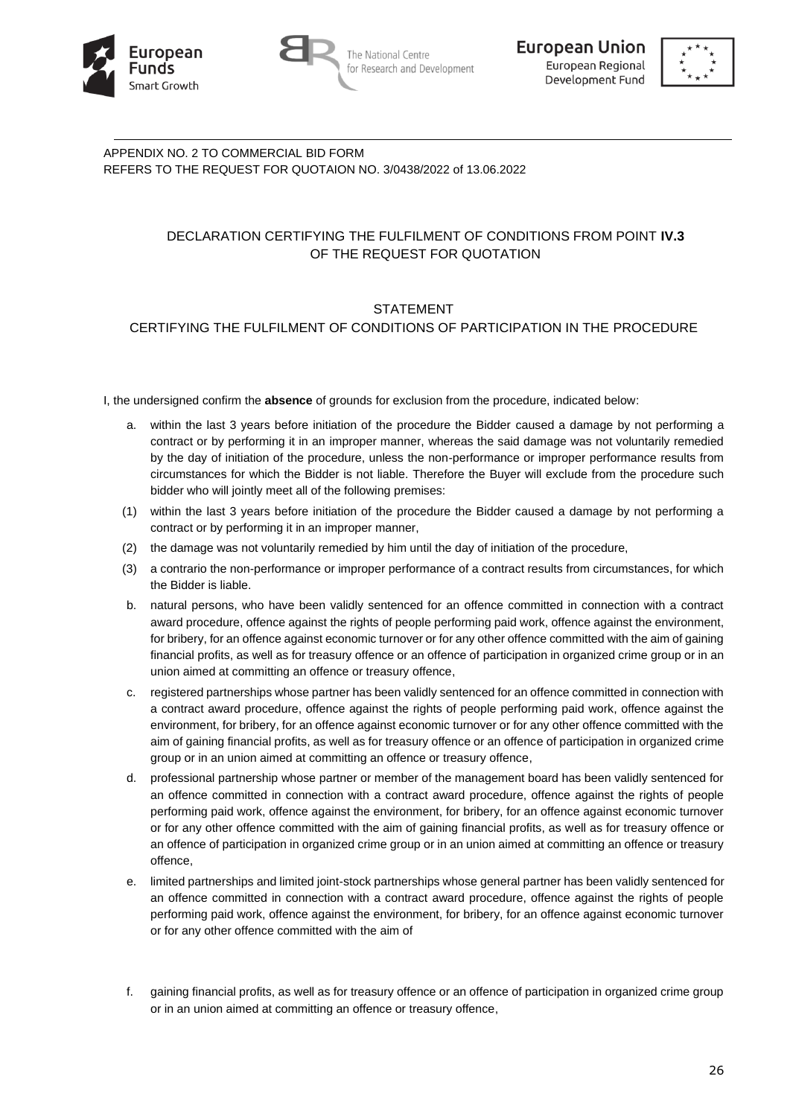





APPENDIX NO. 2 TO COMMERCIAL BID FORM REFERS TO THE REQUEST FOR QUOTAION NO. 3/0438/2022 of 13.06.2022

# DECLARATION CERTIFYING THE FULFILMENT OF CONDITIONS FROM POINT **IV.3** OF THE REQUEST FOR QUOTATION

# STATEMENT

# CERTIFYING THE FULFILMENT OF CONDITIONS OF PARTICIPATION IN THE PROCEDURE

I, the undersigned confirm the **absence** of grounds for exclusion from the procedure, indicated below:

- a. within the last 3 years before initiation of the procedure the Bidder caused a damage by not performing a contract or by performing it in an improper manner, whereas the said damage was not voluntarily remedied by the day of initiation of the procedure, unless the non-performance or improper performance results from circumstances for which the Bidder is not liable. Therefore the Buyer will exclude from the procedure such bidder who will jointly meet all of the following premises:
- (1) within the last 3 years before initiation of the procedure the Bidder caused a damage by not performing a contract or by performing it in an improper manner,
- (2) the damage was not voluntarily remedied by him until the day of initiation of the procedure,
- (3) a contrario the non-performance or improper performance of a contract results from circumstances, for which the Bidder is liable.
- b. natural persons, who have been validly sentenced for an offence committed in connection with a contract award procedure, offence against the rights of people performing paid work, offence against the environment, for bribery, for an offence against economic turnover or for any other offence committed with the aim of gaining financial profits, as well as for treasury offence or an offence of participation in organized crime group or in an union aimed at committing an offence or treasury offence,
- c. registered partnerships whose partner has been validly sentenced for an offence committed in connection with a contract award procedure, offence against the rights of people performing paid work, offence against the environment, for bribery, for an offence against economic turnover or for any other offence committed with the aim of gaining financial profits, as well as for treasury offence or an offence of participation in organized crime group or in an union aimed at committing an offence or treasury offence,
- d. professional partnership whose partner or member of the management board has been validly sentenced for an offence committed in connection with a contract award procedure, offence against the rights of people performing paid work, offence against the environment, for bribery, for an offence against economic turnover or for any other offence committed with the aim of gaining financial profits, as well as for treasury offence or an offence of participation in organized crime group or in an union aimed at committing an offence or treasury offence,
- e. limited partnerships and limited joint-stock partnerships whose general partner has been validly sentenced for an offence committed in connection with a contract award procedure, offence against the rights of people performing paid work, offence against the environment, for bribery, for an offence against economic turnover or for any other offence committed with the aim of
- f. gaining financial profits, as well as for treasury offence or an offence of participation in organized crime group or in an union aimed at committing an offence or treasury offence,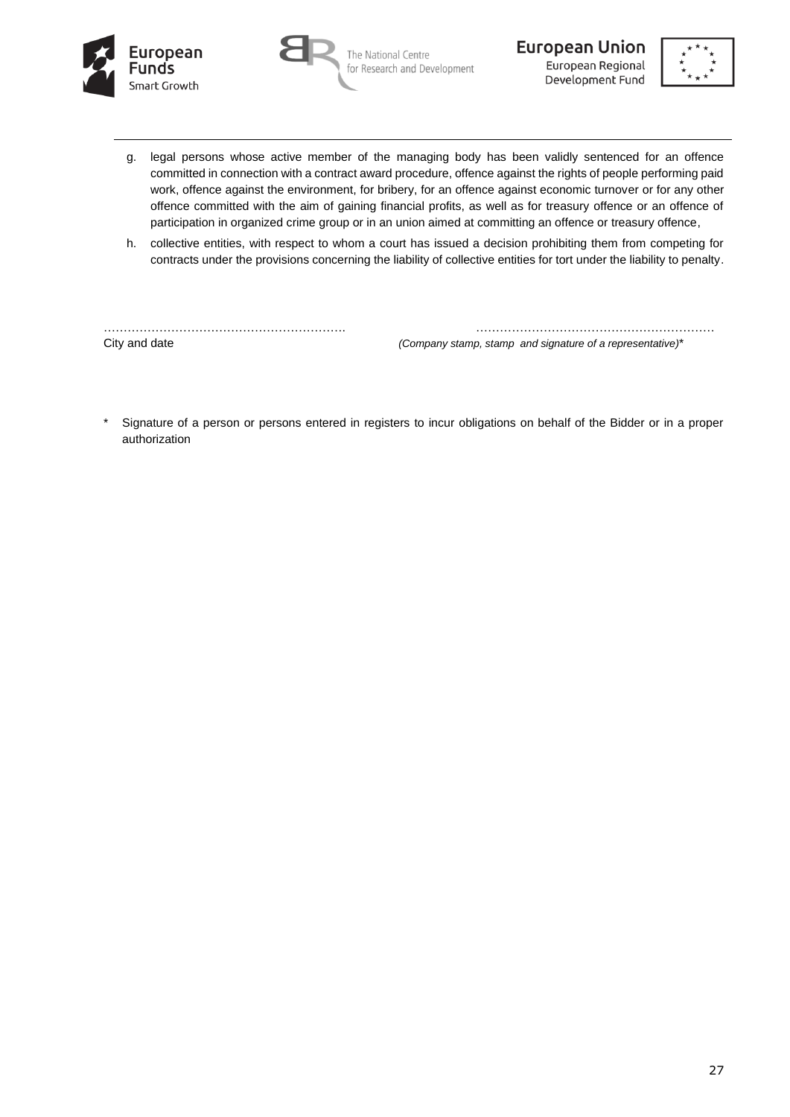





- g. legal persons whose active member of the managing body has been validly sentenced for an offence committed in connection with a contract award procedure, offence against the rights of people performing paid work, offence against the environment, for bribery, for an offence against economic turnover or for any other offence committed with the aim of gaining financial profits, as well as for treasury offence or an offence of participation in organized crime group or in an union aimed at committing an offence or treasury offence,
- h. collective entities, with respect to whom a court has issued a decision prohibiting them from competing for contracts under the provisions concerning the liability of collective entities for tort under the liability to penalty.

……………………………………………………. …………………………………………………… City and date *(Company stamp, stamp and signature of a representative)*\*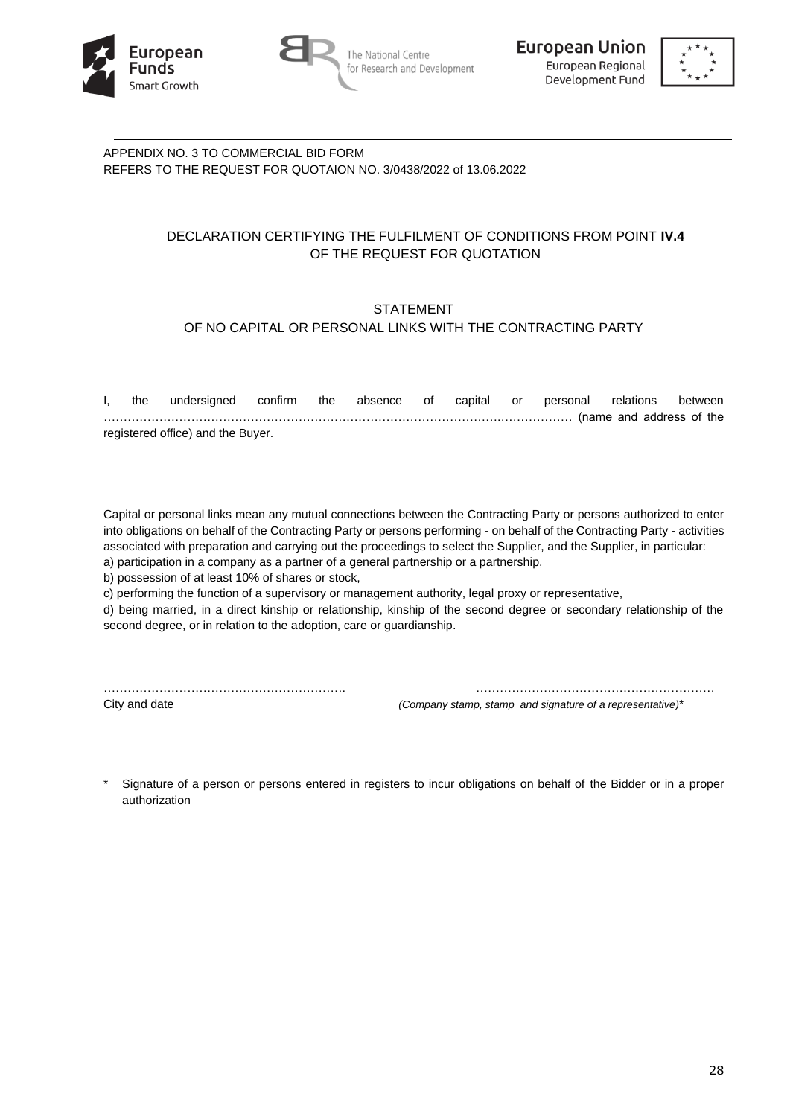





APPENDIX NO. 3 TO COMMERCIAL BID FORM REFERS TO THE REQUEST FOR QUOTAION NO. 3/0438/2022 of 13.06.2022

# DECLARATION CERTIFYING THE FULFILMENT OF CONDITIONS FROM POINT **IV.4** OF THE REQUEST FOR QUOTATION

# STATEMENT OF NO CAPITAL OR PERSONAL LINKS WITH THE CONTRACTING PARTY

| the | undersigned confirm the absence of capital or personal relations between |  |  |  |  |  |
|-----|--------------------------------------------------------------------------|--|--|--|--|--|
|     |                                                                          |  |  |  |  |  |
|     | registered office) and the Buyer.                                        |  |  |  |  |  |

Capital or personal links mean any mutual connections between the Contracting Party or persons authorized to enter into obligations on behalf of the Contracting Party or persons performing - on behalf of the Contracting Party - activities associated with preparation and carrying out the proceedings to select the Supplier, and the Supplier, in particular: a) participation in a company as a partner of a general partnership or a partnership,

b) possession of at least 10% of shares or stock,

c) performing the function of a supervisory or management authority, legal proxy or representative,

d) being married, in a direct kinship or relationship, kinship of the second degree or secondary relationship of the second degree, or in relation to the adoption, care or guardianship.

……………………………………………………. ……………………………………………………

City and date *(Company stamp, stamp and signature of a representative)*\*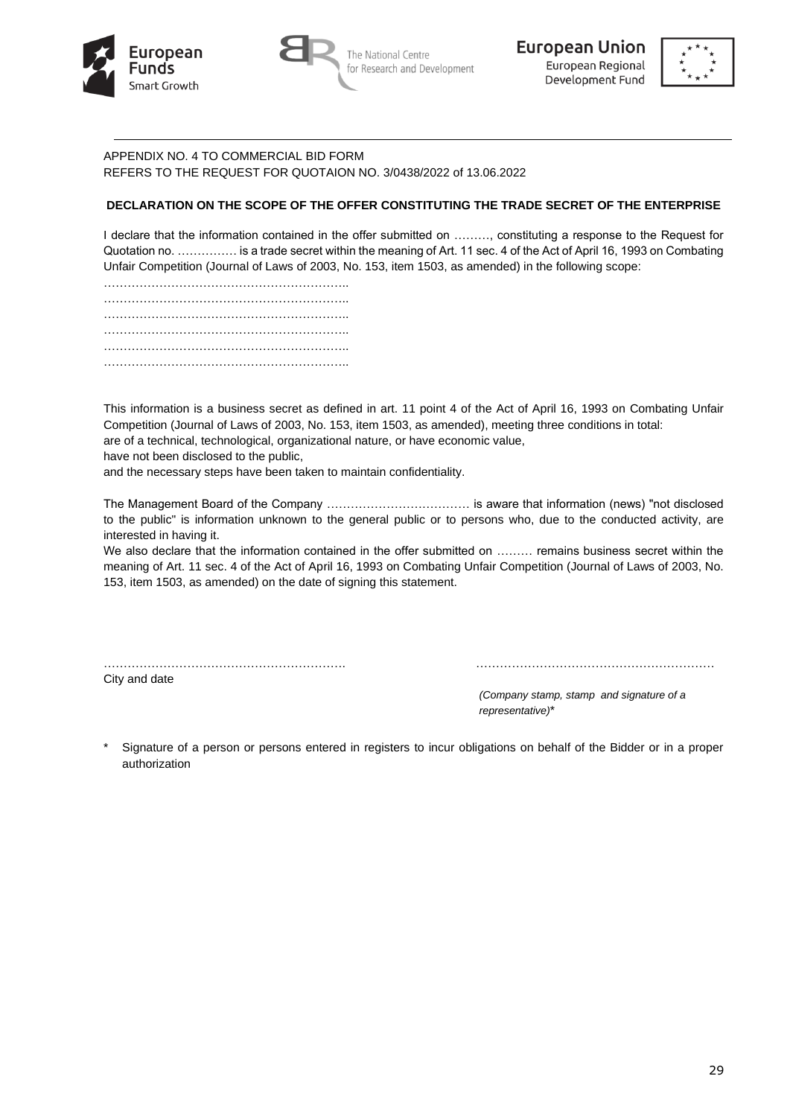





# APPENDIX NO. 4 TO COMMERCIAL BID FORM REFERS TO THE REQUEST FOR QUOTAION NO. 3/0438/2022 of 13.06.2022

# **DECLARATION ON THE SCOPE OF THE OFFER CONSTITUTING THE TRADE SECRET OF THE ENTERPRISE**

I declare that the information contained in the offer submitted on ………, constituting a response to the Request for Quotation no. …………… is a trade secret within the meaning of Art. 11 sec. 4 of the Act of April 16, 1993 on Combating Unfair Competition (Journal of Laws of 2003, No. 153, item 1503, as amended) in the following scope:

…………………………………………………….. …………………………………………………….. …………………………………………………….. …………………………………………………….. …………………………………………………….. …………………………………………………………………

This information is a business secret as defined in art. 11 point 4 of the Act of April 16, 1993 on Combating Unfair Competition (Journal of Laws of 2003, No. 153, item 1503, as amended), meeting three conditions in total:

are of a technical, technological, organizational nature, or have economic value,

have not been disclosed to the public,

and the necessary steps have been taken to maintain confidentiality.

The Management Board of the Company ……………………………… is aware that information (news) "not disclosed to the public" is information unknown to the general public or to persons who, due to the conducted activity, are interested in having it.

We also declare that the information contained in the offer submitted on ......... remains business secret within the meaning of Art. 11 sec. 4 of the Act of April 16, 1993 on Combating Unfair Competition (Journal of Laws of 2003, No. 153, item 1503, as amended) on the date of signing this statement.

……………………………………………………. ……………………………………………………

City and date

*(Company stamp, stamp and signature of a representative)*\*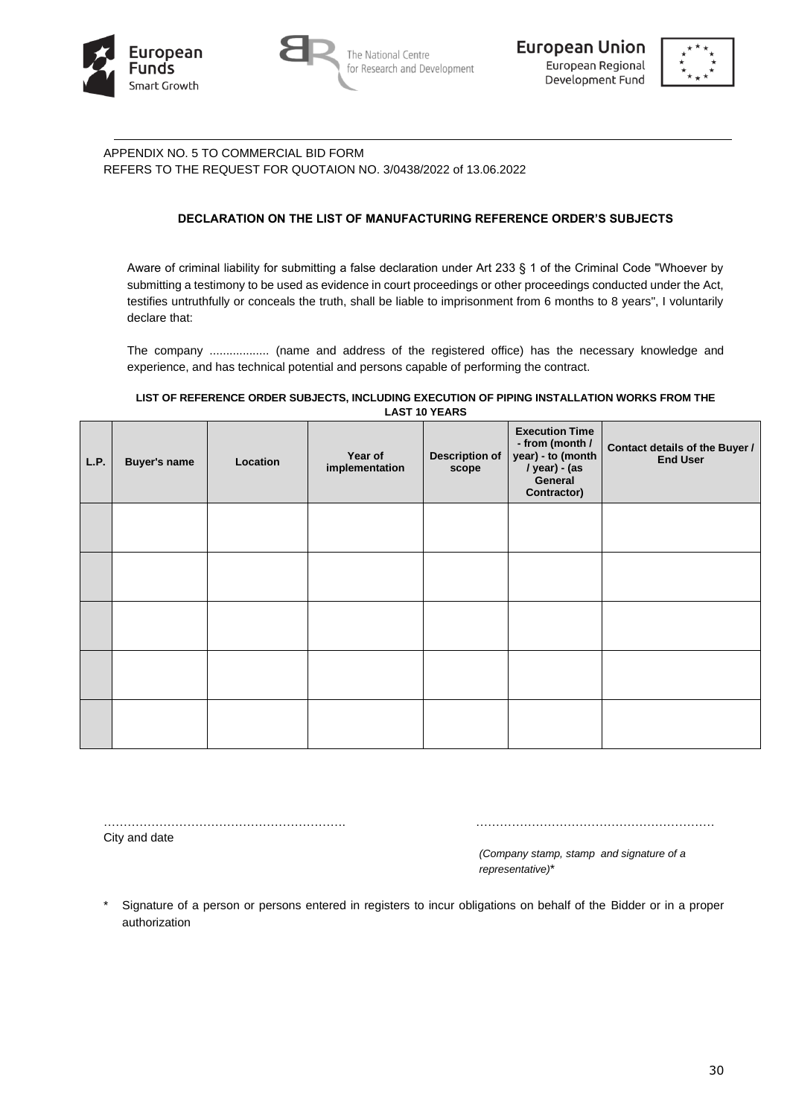





# APPENDIX NO. 5 TO COMMERCIAL BID FORM REFERS TO THE REQUEST FOR QUOTAION NO. 3/0438/2022 of 13.06.2022

# **DECLARATION ON THE LIST OF MANUFACTURING REFERENCE ORDER'S SUBJECTS**

Aware of criminal liability for submitting a false declaration under Art 233 § 1 of the Criminal Code "Whoever by submitting a testimony to be used as evidence in court proceedings or other proceedings conducted under the Act, testifies untruthfully or conceals the truth, shall be liable to imprisonment from 6 months to 8 years", I voluntarily declare that:

The company .................. (name and address of the registered office) has the necessary knowledge and experience, and has technical potential and persons capable of performing the contract.

#### **LIST OF REFERENCE ORDER SUBJECTS, INCLUDING EXECUTION OF PIPING INSTALLATION WORKS FROM THE LAST 10 YEARS**

| L.P. | <b>Buyer's name</b> | Location | Year of<br>implementation | <b>Description of</b><br>scope | <b>Execution Time</b><br>- from (month /<br>year) - to (month<br>/ year) - (as<br>General<br>Contractor) | Contact details of the Buyer /<br><b>End User</b> |
|------|---------------------|----------|---------------------------|--------------------------------|----------------------------------------------------------------------------------------------------------|---------------------------------------------------|
|      |                     |          |                           |                                |                                                                                                          |                                                   |
|      |                     |          |                           |                                |                                                                                                          |                                                   |
|      |                     |          |                           |                                |                                                                                                          |                                                   |
|      |                     |          |                           |                                |                                                                                                          |                                                   |
|      |                     |          |                           |                                |                                                                                                          |                                                   |

……………………………………………………. ……………………………………………………

City and date

*(Company stamp, stamp and signature of a representative)*\*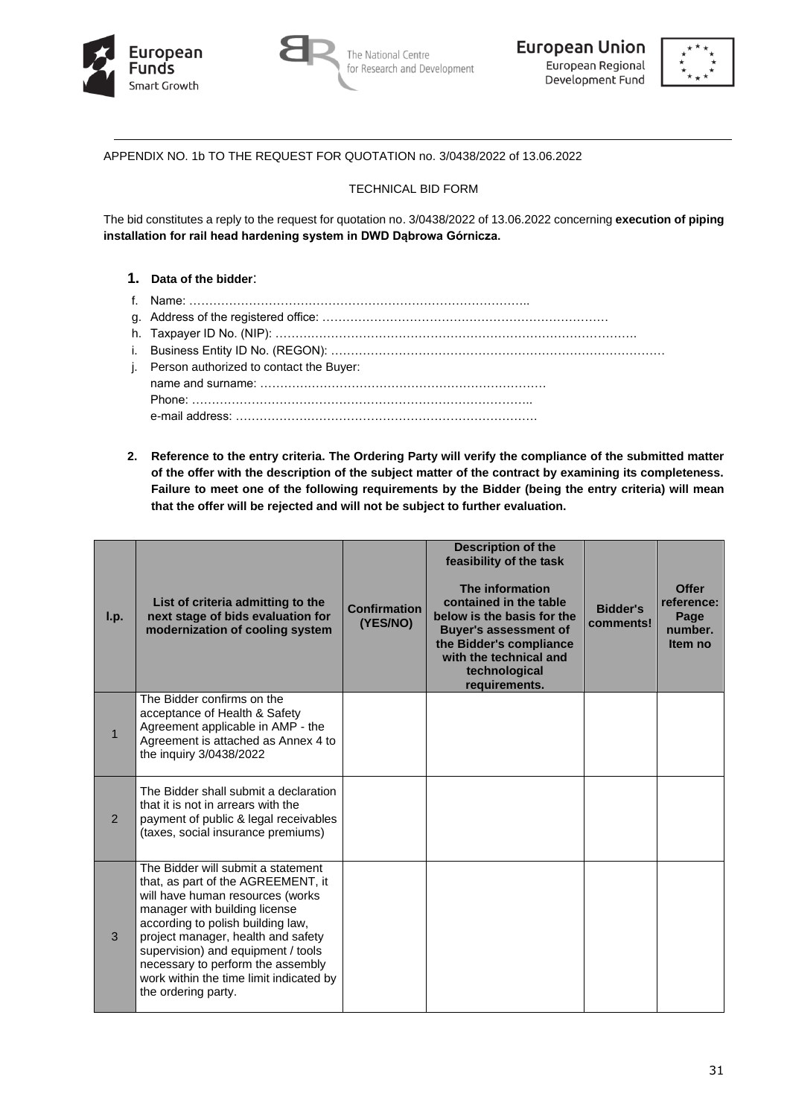





APPENDIX NO. 1b TO THE REQUEST FOR QUOTATION no. 3/0438/2022 of 13.06.2022

## TECHNICAL BID FORM

The bid constitutes a reply to the request for quotation no. 3/0438/2022 of 13.06.2022 concerning **execution of piping installation for rail head hardening system in DWD Dąbrowa Górnicza.**

## **1. Data of the bidder**:

- f. Name: …………………………………………………………………………..
- g. Address of the registered office: ………………………………………………………………
- h. Taxpayer ID No. (NIP): ……………………………………………………………………………….
- i. Business Entity ID No. (REGON): …………………………………………………………………………
- j. Person authorized to contact the Buyer: name and surname: ……………………………………………………………… Phone: ………………………………………………………………………….. e-mail address: ………………………………………………………………….
- **2. Reference to the entry criteria. The Ordering Party will verify the compliance of the submitted matter of the offer with the description of the subject matter of the contract by examining its completeness. Failure to meet one of the following requirements by the Bidder (being the entry criteria) will mean that the offer will be rejected and will not be subject to further evaluation.**

| I.p.           | List of criteria admitting to the<br>next stage of bids evaluation for<br>modernization of cooling system                                                                                                                                                                                                                                                             | <b>Confirmation</b><br>(YES/NO) | <b>Description of the</b><br>feasibility of the task<br>The information<br>contained in the table<br>below is the basis for the<br><b>Buyer's assessment of</b><br>the Bidder's compliance<br>with the technical and<br>technological<br>requirements. | <b>Bidder's</b><br>comments! | <b>Offer</b><br>reference:<br>Page<br>number.<br>Item no |
|----------------|-----------------------------------------------------------------------------------------------------------------------------------------------------------------------------------------------------------------------------------------------------------------------------------------------------------------------------------------------------------------------|---------------------------------|--------------------------------------------------------------------------------------------------------------------------------------------------------------------------------------------------------------------------------------------------------|------------------------------|----------------------------------------------------------|
| $\mathbf{1}$   | The Bidder confirms on the<br>acceptance of Health & Safety<br>Agreement applicable in AMP - the<br>Agreement is attached as Annex 4 to<br>the inquiry 3/0438/2022                                                                                                                                                                                                    |                                 |                                                                                                                                                                                                                                                        |                              |                                                          |
| $\overline{2}$ | The Bidder shall submit a declaration<br>that it is not in arrears with the<br>payment of public & legal receivables<br>(taxes, social insurance premiums)                                                                                                                                                                                                            |                                 |                                                                                                                                                                                                                                                        |                              |                                                          |
| 3              | The Bidder will submit a statement<br>that, as part of the AGREEMENT, it<br>will have human resources (works<br>manager with building license<br>according to polish building law,<br>project manager, health and safety<br>supervision) and equipment / tools<br>necessary to perform the assembly<br>work within the time limit indicated by<br>the ordering party. |                                 |                                                                                                                                                                                                                                                        |                              |                                                          |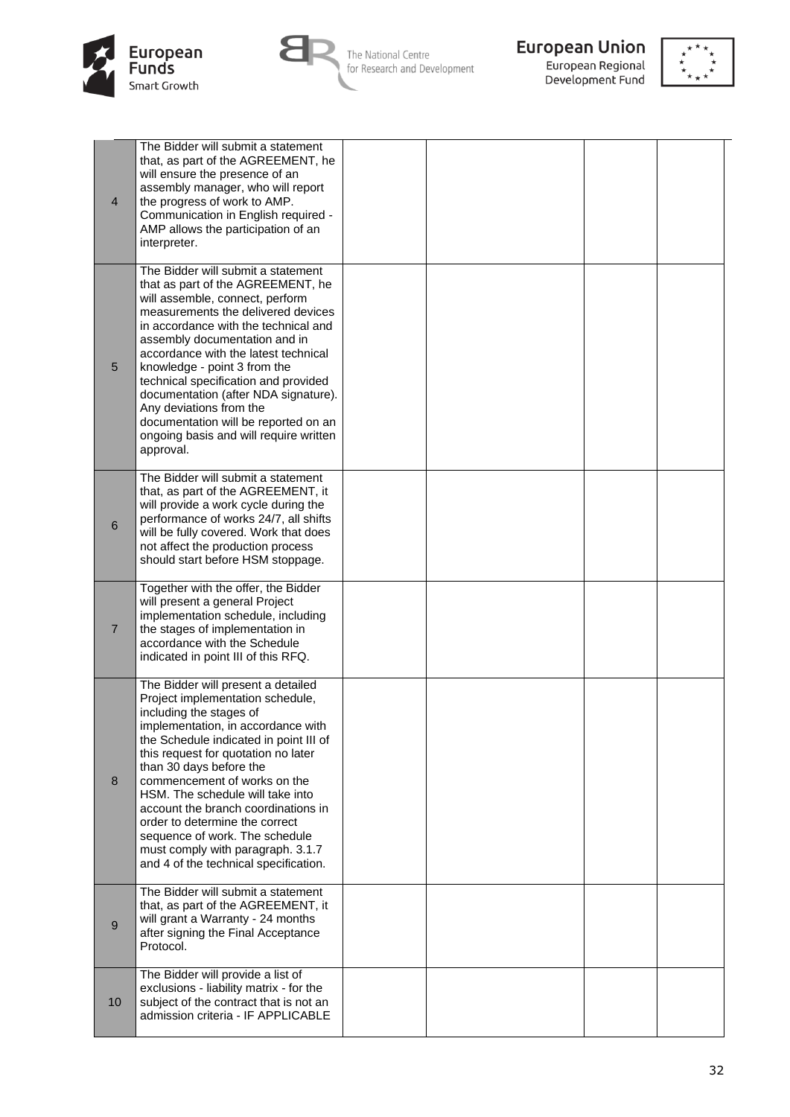



The National Centre<br>for Research and Development



**European Union**<br>European Regional<br>Development Fund



| $\overline{4}$ | The Bidder will submit a statement<br>that, as part of the AGREEMENT, he<br>will ensure the presence of an<br>assembly manager, who will report<br>the progress of work to AMP.<br>Communication in English required -<br>AMP allows the participation of an<br>interpreter.                                                                                                                                                                                                                                     |  |  |  |
|----------------|------------------------------------------------------------------------------------------------------------------------------------------------------------------------------------------------------------------------------------------------------------------------------------------------------------------------------------------------------------------------------------------------------------------------------------------------------------------------------------------------------------------|--|--|--|
| 5              | The Bidder will submit a statement<br>that as part of the AGREEMENT, he<br>will assemble, connect, perform<br>measurements the delivered devices<br>in accordance with the technical and<br>assembly documentation and in<br>accordance with the latest technical<br>knowledge - point 3 from the<br>technical specification and provided<br>documentation (after NDA signature).<br>Any deviations from the<br>documentation will be reported on an<br>ongoing basis and will require written<br>approval.      |  |  |  |
| $\,6$          | The Bidder will submit a statement<br>that, as part of the AGREEMENT, it<br>will provide a work cycle during the<br>performance of works 24/7, all shifts<br>will be fully covered. Work that does<br>not affect the production process<br>should start before HSM stoppage.                                                                                                                                                                                                                                     |  |  |  |
| $\overline{7}$ | Together with the offer, the Bidder<br>will present a general Project<br>implementation schedule, including<br>the stages of implementation in<br>accordance with the Schedule<br>indicated in point III of this RFQ.                                                                                                                                                                                                                                                                                            |  |  |  |
| 8              | The Bidder will present a detailed<br>Project implementation schedule,<br>including the stages of<br>implementation, in accordance with<br>the Schedule indicated in point III of<br>this request for quotation no later<br>than 30 days before the<br>commencement of works on the<br>HSM. The schedule will take into<br>account the branch coordinations in<br>order to determine the correct<br>sequence of work. The schedule<br>must comply with paragraph. 3.1.7<br>and 4 of the technical specification. |  |  |  |
| $9\,$          | The Bidder will submit a statement<br>that, as part of the AGREEMENT, it<br>will grant a Warranty - 24 months<br>after signing the Final Acceptance<br>Protocol.                                                                                                                                                                                                                                                                                                                                                 |  |  |  |
| 10             | The Bidder will provide a list of<br>exclusions - liability matrix - for the<br>subject of the contract that is not an<br>admission criteria - IF APPLICABLE                                                                                                                                                                                                                                                                                                                                                     |  |  |  |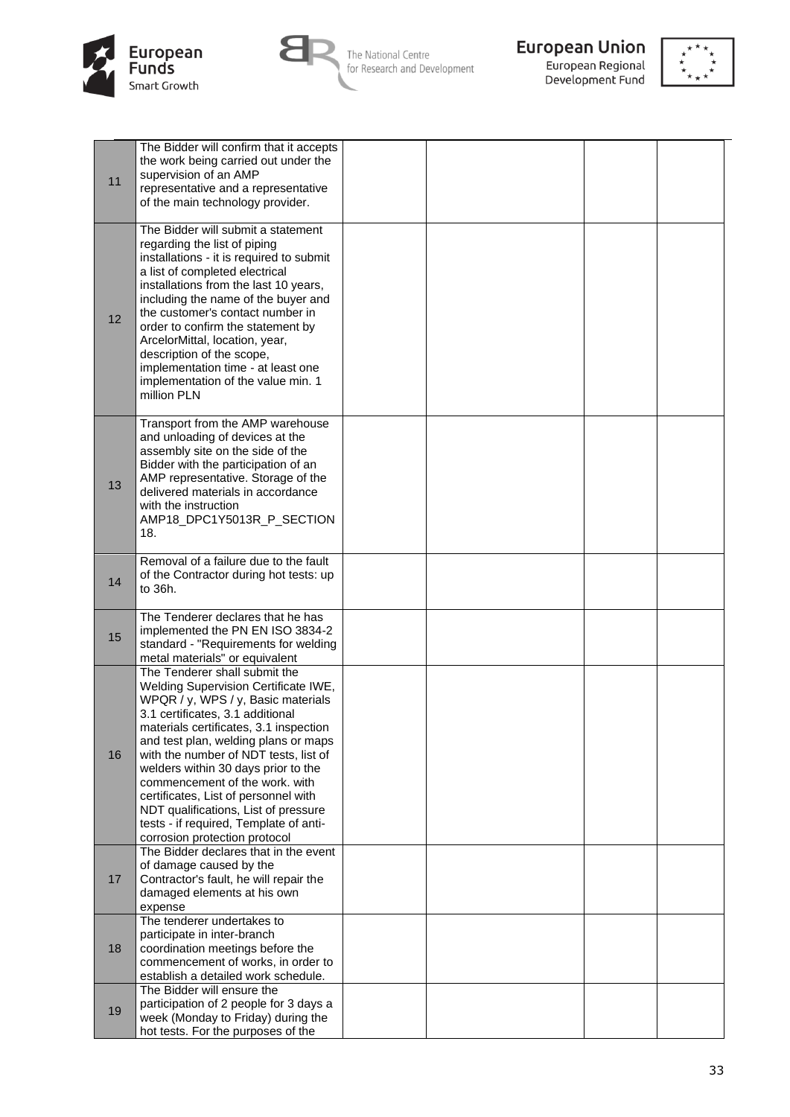



**European Union**<br>European Regional<br>Development Fund



| 11 | The Bidder will confirm that it accepts<br>the work being carried out under the<br>supervision of an AMP<br>representative and a representative<br>of the main technology provider.                                                                                                                                                                                                                                                                                                                            |  |  |
|----|----------------------------------------------------------------------------------------------------------------------------------------------------------------------------------------------------------------------------------------------------------------------------------------------------------------------------------------------------------------------------------------------------------------------------------------------------------------------------------------------------------------|--|--|
| 12 | The Bidder will submit a statement<br>regarding the list of piping<br>installations - it is required to submit<br>a list of completed electrical<br>installations from the last 10 years,<br>including the name of the buyer and<br>the customer's contact number in<br>order to confirm the statement by<br>ArcelorMittal, location, year,<br>description of the scope,<br>implementation time - at least one<br>implementation of the value min. 1<br>million PLN                                            |  |  |
| 13 | Transport from the AMP warehouse<br>and unloading of devices at the<br>assembly site on the side of the<br>Bidder with the participation of an<br>AMP representative. Storage of the<br>delivered materials in accordance<br>with the instruction<br>AMP18_DPC1Y5013R_P_SECTION<br>18.                                                                                                                                                                                                                         |  |  |
| 14 | Removal of a failure due to the fault<br>of the Contractor during hot tests: up<br>to 36h.                                                                                                                                                                                                                                                                                                                                                                                                                     |  |  |
| 15 | The Tenderer declares that he has<br>implemented the PN EN ISO 3834-2<br>standard - "Requirements for welding<br>metal materials" or equivalent                                                                                                                                                                                                                                                                                                                                                                |  |  |
| 16 | The Tenderer shall submit the<br>Welding Supervision Certificate IWE,<br>WPQR / y, WPS / y, Basic materials<br>3.1 certificates, 3.1 additional<br>materials certificates, 3.1 inspection<br>and test plan, welding plans or maps<br>with the number of NDT tests, list of<br>welders within 30 days prior to the<br>commencement of the work. with<br>certificates, List of personnel with<br>NDT qualifications, List of pressure<br>tests - if required, Template of anti-<br>corrosion protection protocol |  |  |
| 17 | The Bidder declares that in the event<br>of damage caused by the<br>Contractor's fault, he will repair the<br>damaged elements at his own<br>expense                                                                                                                                                                                                                                                                                                                                                           |  |  |
| 18 | The tenderer undertakes to<br>participate in inter-branch<br>coordination meetings before the<br>commencement of works, in order to<br>establish a detailed work schedule.                                                                                                                                                                                                                                                                                                                                     |  |  |
| 19 | The Bidder will ensure the<br>participation of 2 people for 3 days a<br>week (Monday to Friday) during the<br>hot tests. For the purposes of the                                                                                                                                                                                                                                                                                                                                                               |  |  |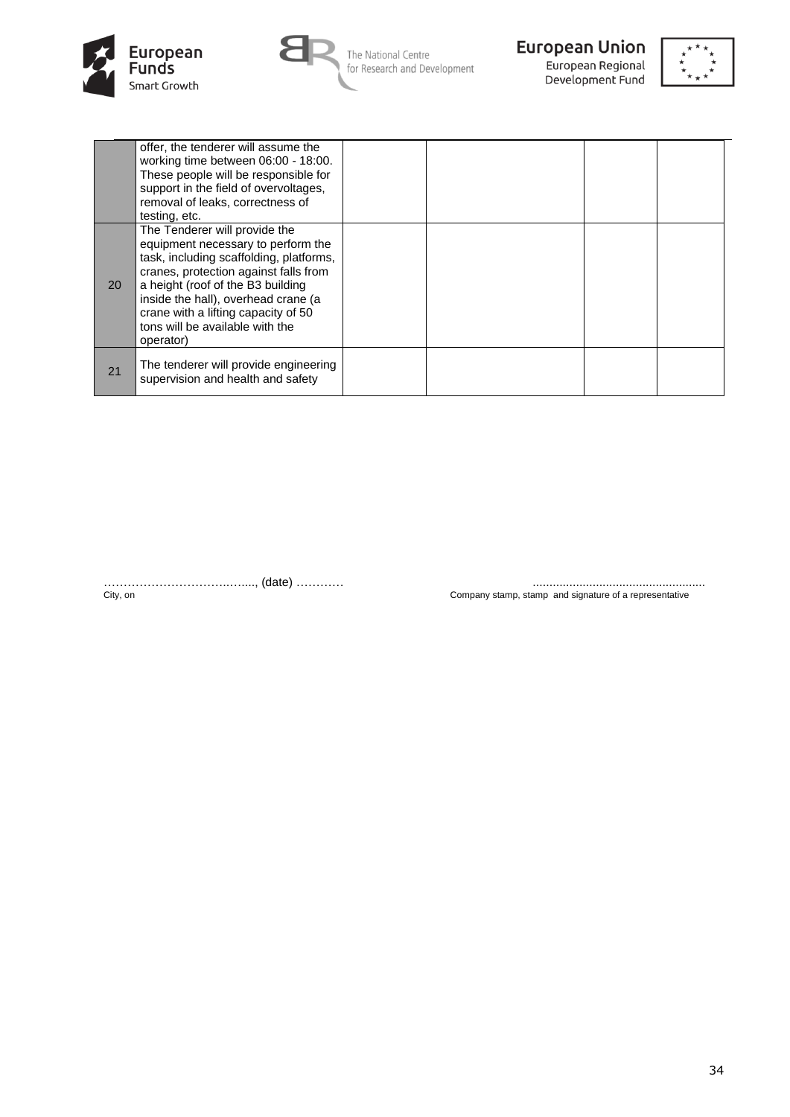





Development Fund



|           | offer, the tenderer will assume the<br>working time between 06:00 - 18:00.<br>These people will be responsible for<br>support in the field of overvoltages,<br>removal of leaks, correctness of<br>testing, etc.                                                                                                           |  |  |
|-----------|----------------------------------------------------------------------------------------------------------------------------------------------------------------------------------------------------------------------------------------------------------------------------------------------------------------------------|--|--|
| <b>20</b> | The Tenderer will provide the<br>equipment necessary to perform the<br>task, including scaffolding, platforms,<br>cranes, protection against falls from<br>a height (roof of the B3 building<br>inside the hall), overhead crane (a<br>crane with a lifting capacity of 50<br>tons will be available with the<br>operator) |  |  |
| 21        | The tenderer will provide engineering<br>supervision and health and safety                                                                                                                                                                                                                                                 |  |  |

…………………………..…...., (date) ………… ....................................................

City, on Company stamp, stamp and signature of a representative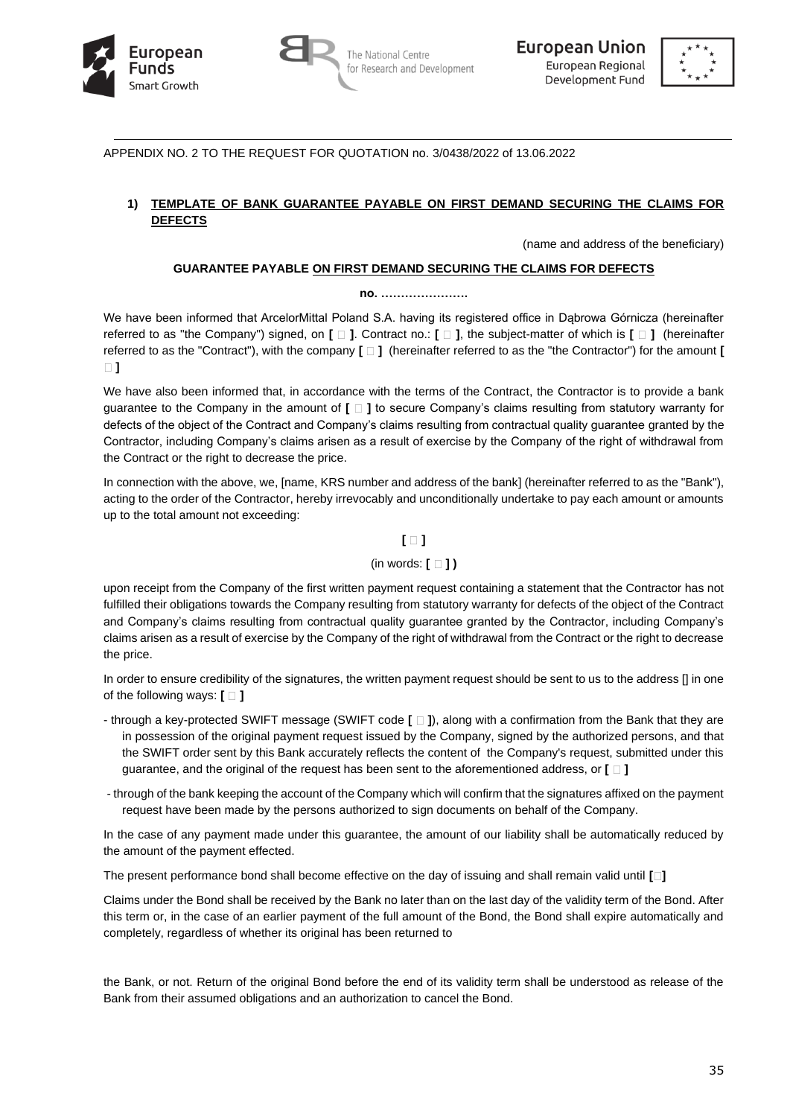





APPENDIX NO. 2 TO THE REQUEST FOR QUOTATION no. 3/0438/2022 of 13.06.2022

# **1) TEMPLATE OF BANK GUARANTEE PAYABLE ON FIRST DEMAND SECURING THE CLAIMS FOR DEFECTS**

(name and address of the beneficiary)

## **GUARANTEE PAYABLE ON FIRST DEMAND SECURING THE CLAIMS FOR DEFECTS**

#### **no. ………………….**

We have been informed that ArcelorMittal Poland S.A. having its registered office in Dąbrowa Górnicza (hereinafter referred to as "the Company") signed, on **[ ]**. Contract no.: **[ ]**, the subject-matter of which is **[ ]** (hereinafter referred to as the "Contract"), with the company **[ ]** (hereinafter referred to as the "the Contractor") for the amount **[ ]**

We have also been informed that, in accordance with the terms of the Contract, the Contractor is to provide a bank guarantee to the Company in the amount of **[ ]** to secure Company's claims resulting from statutory warranty for defects of the object of the Contract and Company's claims resulting from contractual quality guarantee granted by the Contractor, including Company's claims arisen as a result of exercise by the Company of the right of withdrawal from the Contract or the right to decrease the price.

In connection with the above, we, [name, KRS number and address of the bank] (hereinafter referred to as the "Bank"), acting to the order of the Contractor, hereby irrevocably and unconditionally undertake to pay each amount or amounts up to the total amount not exceeding:

# **[ ]**

# (in words: **[ ] )**

upon receipt from the Company of the first written payment request containing a statement that the Contractor has not fulfilled their obligations towards the Company resulting from statutory warranty for defects of the object of the Contract and Company's claims resulting from contractual quality guarantee granted by the Contractor, including Company's claims arisen as a result of exercise by the Company of the right of withdrawal from the Contract or the right to decrease the price.

In order to ensure credibility of the signatures, the written payment request should be sent to us to the address [] in one of the following ways:  $\mathbf{[} \Box \mathbf{]}$ 

- through a key-protected SWIFT message (SWIFT code **[ ]**), along with a confirmation from the Bank that they are in possession of the original payment request issued by the Company, signed by the authorized persons, and that the SWIFT order sent by this Bank accurately reflects the content of the Company's request, submitted under this guarantee, and the original of the request has been sent to the aforementioned address, or **[ ]**
- through of the bank keeping the account of the Company which will confirm that the signatures affixed on the payment request have been made by the persons authorized to sign documents on behalf of the Company.

In the case of any payment made under this guarantee, the amount of our liability shall be automatically reduced by the amount of the payment effected.

The present performance bond shall become effective on the day of issuing and shall remain valid until **[ ]**

Claims under the Bond shall be received by the Bank no later than on the last day of the validity term of the Bond. After this term or, in the case of an earlier payment of the full amount of the Bond, the Bond shall expire automatically and completely, regardless of whether its original has been returned to

the Bank, or not. Return of the original Bond before the end of its validity term shall be understood as release of the Bank from their assumed obligations and an authorization to cancel the Bond.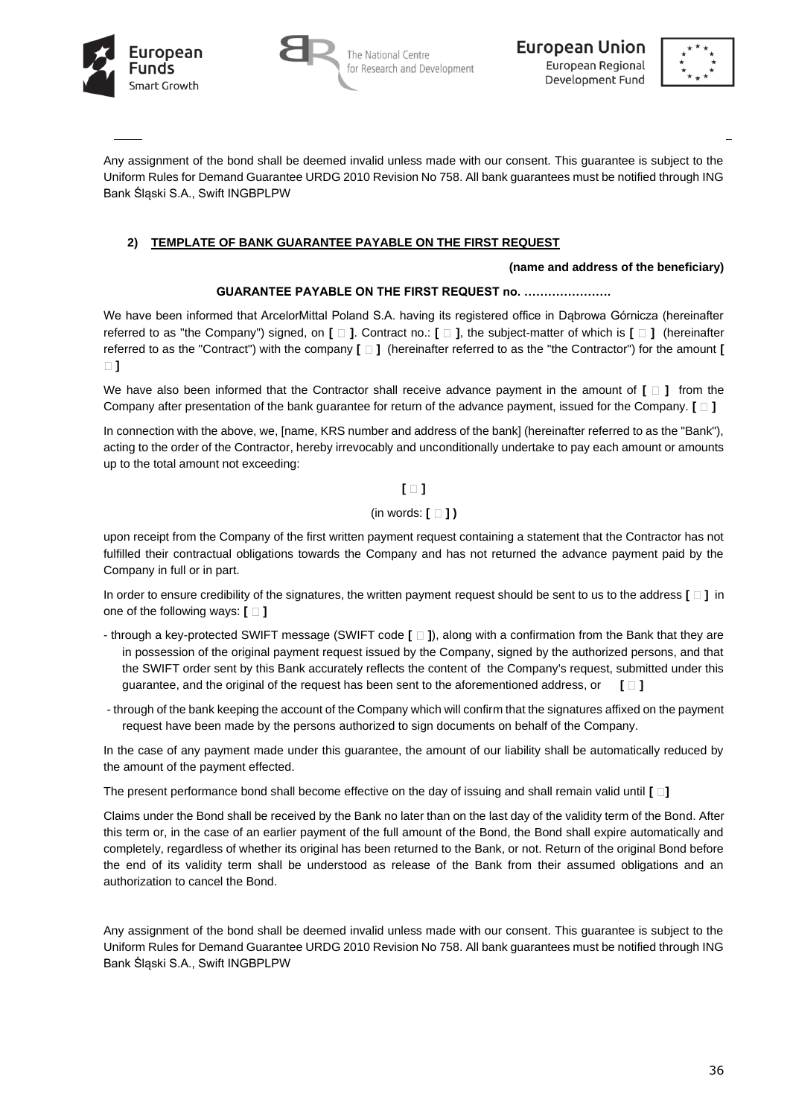





Any assignment of the bond shall be deemed invalid unless made with our consent. This guarantee is subject to the Uniform Rules for Demand Guarantee URDG 2010 Revision No 758. All bank guarantees must be notified through ING Bank Śląski S.A., Swift INGBPLPW

# **2) TEMPLATE OF BANK GUARANTEE PAYABLE ON THE FIRST REQUEST**

### **(name and address of the beneficiary)**

## **GUARANTEE PAYABLE ON THE FIRST REQUEST no. ………………….**

We have been informed that ArcelorMittal Poland S.A. having its registered office in Dabrowa Górnicza (hereinafter referred to as "the Company") signed, on **[ ]**. Contract no.: **[ ]**, the subject-matter of which is **[ ]** (hereinafter referred to as the "Contract") with the company **[ ]** (hereinafter referred to as the "the Contractor") for the amount **[ ]**

We have also been informed that the Contractor shall receive advance payment in the amount of  $[\Box]$  from the Company after presentation of the bank guarantee for return of the advance payment, issued for the Company. **[ ]**

In connection with the above, we, [name, KRS number and address of the bank] (hereinafter referred to as the "Bank"), acting to the order of the Contractor, hereby irrevocably and unconditionally undertake to pay each amount or amounts up to the total amount not exceeding:

# **[ ]**

## (in words: **[ ] )**

upon receipt from the Company of the first written payment request containing a statement that the Contractor has not fulfilled their contractual obligations towards the Company and has not returned the advance payment paid by the Company in full or in part.

In order to ensure credibility of the signatures, the written payment request should be sent to us to the address **[ ]** in one of the following ways:  $\Box$  ]

- through a key-protected SWIFT message (SWIFT code **[ ]**), along with a confirmation from the Bank that they are in possession of the original payment request issued by the Company, signed by the authorized persons, and that the SWIFT order sent by this Bank accurately reflects the content of the Company's request, submitted under this guarantee, and the original of the request has been sent to the aforementioned address, or **[ ]**
- through of the bank keeping the account of the Company which will confirm that the signatures affixed on the payment request have been made by the persons authorized to sign documents on behalf of the Company.

In the case of any payment made under this guarantee, the amount of our liability shall be automatically reduced by the amount of the payment effected.

The present performance bond shall become effective on the day of issuing and shall remain valid until **[ ]**

Claims under the Bond shall be received by the Bank no later than on the last day of the validity term of the Bond. After this term or, in the case of an earlier payment of the full amount of the Bond, the Bond shall expire automatically and completely, regardless of whether its original has been returned to the Bank, or not. Return of the original Bond before the end of its validity term shall be understood as release of the Bank from their assumed obligations and an authorization to cancel the Bond.

Any assignment of the bond shall be deemed invalid unless made with our consent. This guarantee is subject to the Uniform Rules for Demand Guarantee URDG 2010 Revision No 758. All bank guarantees must be notified through ING Bank Śląski S.A., Swift INGBPLPW